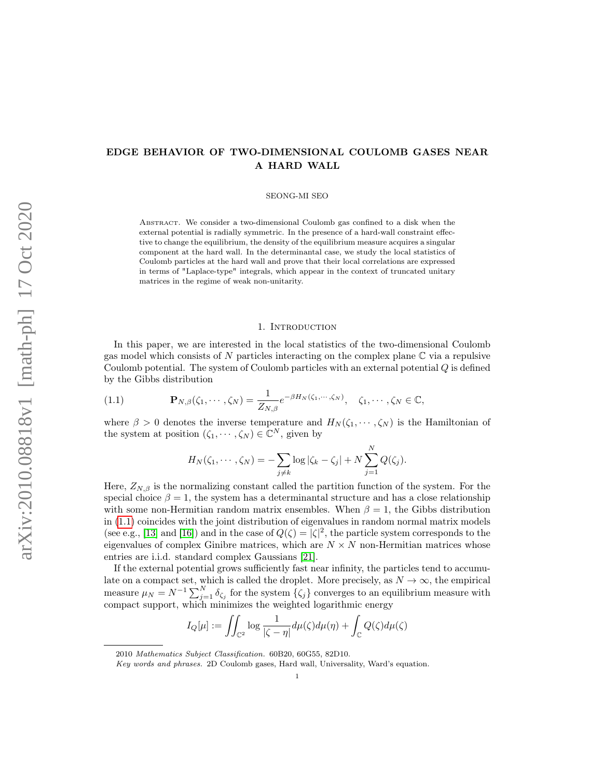# EDGE BEHAVIOR OF TWO-DIMENSIONAL COULOMB GASES NEAR A HARD WALL

SEONG-MI SEO

Abstract. We consider a two-dimensional Coulomb gas confined to a disk when the external potential is radially symmetric. In the presence of a hard-wall constraint effective to change the equilibrium, the density of the equilibrium measure acquires a singular component at the hard wall. In the determinantal case, we study the local statistics of Coulomb particles at the hard wall and prove that their local correlations are expressed in terms of "Laplace-type" integrals, which appear in the context of truncated unitary matrices in the regime of weak non-unitarity.

### 1. INTRODUCTION

In this paper, we are interested in the local statistics of the two-dimensional Coulomb gas model which consists of  $N$  particles interacting on the complex plane  $\mathbb C$  via a repulsive Coulomb potential. The system of Coulomb particles with an external potential Q is defined by the Gibbs distribution

<span id="page-0-0"></span>(1.1) 
$$
\mathbf{P}_{N,\beta}(\zeta_1,\cdots,\zeta_N)=\frac{1}{Z_{N,\beta}}e^{-\beta H_N(\zeta_1,\cdots,\zeta_N)},\quad \zeta_1,\cdots,\zeta_N\in\mathbb{C},
$$

where  $\beta > 0$  denotes the inverse temperature and  $H_N(\zeta_1, \dots, \zeta_N)$  is the Hamiltonian of the system at position  $(\zeta_1, \dots, \zeta_N) \in \mathbb{C}^N$ , given by

$$
H_N(\zeta_1,\dots,\zeta_N)=-\sum_{j\neq k}\log|\zeta_k-\zeta_j|+N\sum_{j=1}^NQ(\zeta_j).
$$

Here,  $Z_{N,\beta}$  is the normalizing constant called the partition function of the system. For the special choice  $\beta = 1$ , the system has a determinantal structure and has a close relationship with some non-Hermitian random matrix ensembles. When  $\beta = 1$ , the Gibbs distribution in [\(1.1\)](#page-0-0) coincides with the joint distribution of eigenvalues in random normal matrix models (see e.g., [\[13\]](#page-18-0) and [\[16\]](#page-18-1)) and in the case of  $Q(\zeta) = |\zeta|^2$ , the particle system corresponds to the eigenvalues of complex Ginibre matrices, which are  $N \times N$  non-Hermitian matrices whose entries are i.i.d. standard complex Gaussians [\[21\]](#page-19-0).

If the external potential grows sufficiently fast near infinity, the particles tend to accumulate on a compact set, which is called the droplet. More precisely, as  $N \to \infty$ , the empirical measure  $\mu_N = N^{-1} \sum_{j=1}^N \delta_{\zeta_j}$  for the system  $\{\zeta_j\}$  converges to an equilibrium measure with compact support, which minimizes the weighted logarithmic energy

$$
I_Q[\mu] := \iint_{\mathbb{C}^2} \log \frac{1}{|\zeta - \eta|} d\mu(\zeta) d\mu(\eta) + \int_{\mathbb{C}} Q(\zeta) d\mu(\zeta)
$$

<sup>2010</sup> Mathematics Subject Classification. 60B20, 60G55, 82D10.

Key words and phrases. 2D Coulomb gases, Hard wall, Universality, Ward's equation.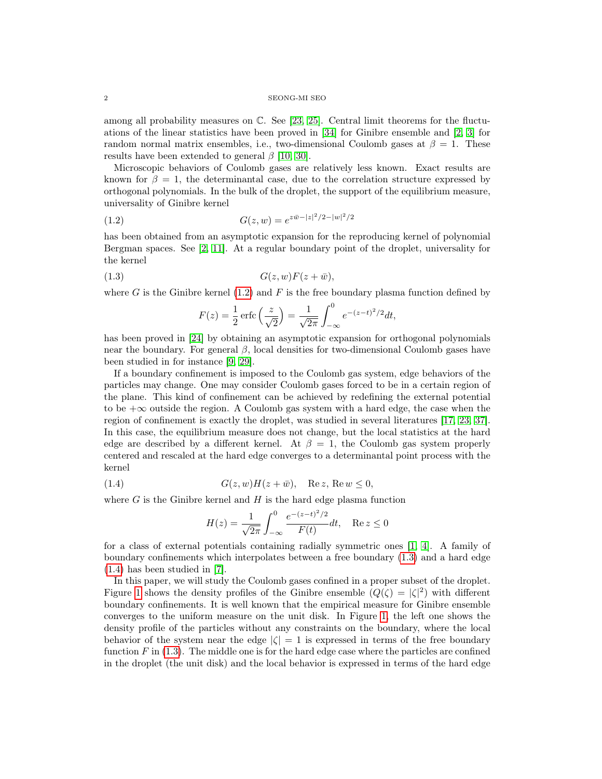#### $2\,$  SEONG-MI SEO

among all probability measures on C. See [\[23,](#page-19-1) [25\]](#page-19-2). Central limit theorems for the fluctuations of the linear statistics have been proved in [\[34\]](#page-19-3) for Ginibre ensemble and [\[2,](#page-18-2) [3\]](#page-18-3) for random normal matrix ensembles, i.e., two-dimensional Coulomb gases at  $\beta = 1$ . These results have been extended to general  $\beta$  [\[10,](#page-18-4) [30\]](#page-19-4).

Microscopic behaviors of Coulomb gases are relatively less known. Exact results are known for  $\beta = 1$ , the determinantal case, due to the correlation structure expressed by orthogonal polynomials. In the bulk of the droplet, the support of the equilibrium measure, universality of Ginibre kernel

<span id="page-1-0"></span>(1.2) 
$$
G(z, w) = e^{z\bar{w} - |z|^2/2 - |w|^2/2}
$$

has been obtained from an asymptotic expansion for the reproducing kernel of polynomial Bergman spaces. See [\[2,](#page-18-2) [11\]](#page-18-5). At a regular boundary point of the droplet, universality for the kernel

<span id="page-1-1"></span>
$$
(1.3) \tG(z, w)F(z + \bar{w}),
$$

where G is the Ginibre kernel  $(1.2)$  and F is the free boundary plasma function defined by

$$
F(z) = \frac{1}{2} \operatorname{erfc} \left( \frac{z}{\sqrt{2}} \right) = \frac{1}{\sqrt{2\pi}} \int_{-\infty}^{0} e^{-(z-t)^2/2} dt,
$$

has been proved in [\[24\]](#page-19-5) by obtaining an asymptotic expansion for orthogonal polynomials near the boundary. For general  $\beta$ , local densities for two-dimensional Coulomb gases have been studied in for instance [\[9,](#page-18-6) [29\]](#page-19-6).

If a boundary confinement is imposed to the Coulomb gas system, edge behaviors of the particles may change. One may consider Coulomb gases forced to be in a certain region of the plane. This kind of confinement can be achieved by redefining the external potential to be  $+\infty$  outside the region. A Coulomb gas system with a hard edge, the case when the region of confinement is exactly the droplet, was studied in several literatures [\[17,](#page-19-7) [23,](#page-19-1) [37\]](#page-19-8). In this case, the equilibrium measure does not change, but the local statistics at the hard edge are described by a different kernel. At  $\beta = 1$ , the Coulomb gas system properly centered and rescaled at the hard edge converges to a determinantal point process with the kernel

<span id="page-1-2"></span>(1.4) 
$$
G(z, w)H(z + \bar{w}), \quad \text{Re } z, \text{Re } w \le 0,
$$

where  $G$  is the Ginibre kernel and  $H$  is the hard edge plasma function

$$
H(z) = \frac{1}{\sqrt{2\pi}} \int_{-\infty}^{0} \frac{e^{-(z-t)^2/2}}{F(t)} dt, \quad \text{Re } z \le 0
$$

for a class of external potentials containing radially symmetric ones [\[1,](#page-18-7) [4\]](#page-18-8). A family of boundary confinements which interpolates between a free boundary [\(1.3\)](#page-1-1) and a hard edge [\(1.4\)](#page-1-2) has been studied in [\[7\]](#page-18-9).

In this paper, we will study the Coulomb gases confined in a proper subset of the droplet. Figure [1](#page-2-0) shows the density profiles of the Ginibre ensemble  $(Q(\zeta) = |\zeta|^2)$  with different boundary confinements. It is well known that the empirical measure for Ginibre ensemble converges to the uniform measure on the unit disk. In Figure [1,](#page-2-0) the left one shows the density profile of the particles without any constraints on the boundary, where the local behavior of the system near the edge  $|\zeta| = 1$  is expressed in terms of the free boundary function  $F$  in [\(1.3\)](#page-1-1). The middle one is for the hard edge case where the particles are confined in the droplet (the unit disk) and the local behavior is expressed in terms of the hard edge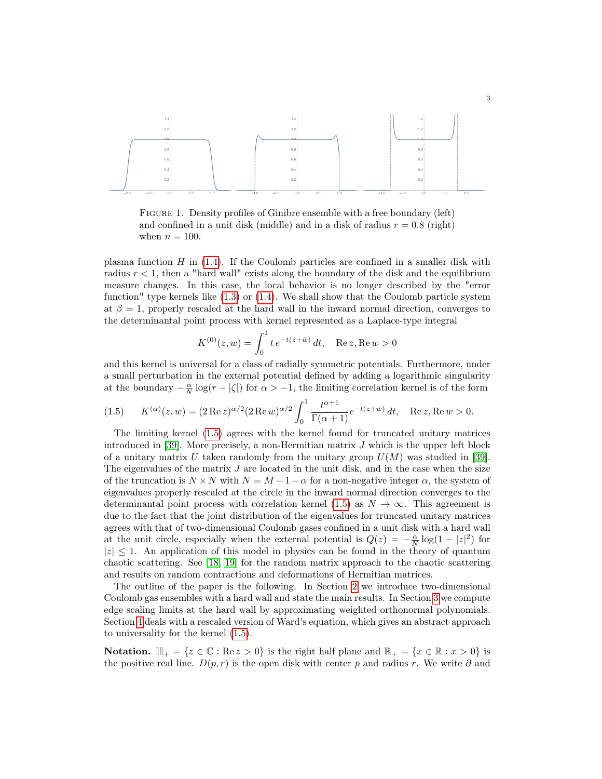

<span id="page-2-0"></span>FIGURE 1. Density profiles of Ginibre ensemble with a free boundary (left) and confined in a unit disk (middle) and in a disk of radius  $r = 0.8$  (right) when  $n = 100$ .

plasma function H in  $(1.4)$ . If the Coulomb particles are confined in a smaller disk with radius  $r < 1$ , then a "hard wall" exists along the boundary of the disk and the equilibrium measure changes. In this case, the local behavior is no longer described by the "error function" type kernels like  $(1.3)$  or  $(1.4)$ . We shall show that the Coulomb particle system at  $\beta = 1$ , properly rescaled at the hard wall in the inward normal direction, converges to the determinantal point process with kernel represented as a Laplace-type integral

$$
K^{(0)}(z,w) = \int_0^1 t e^{-t(z+\bar{w})} dt, \quad \text{Re } z, \text{Re } w > 0
$$

and this kernel is universal for a class of radially symmetric potentials. Furthermore, under a small perturbation in the external potential defined by adding a logarithmic singularity at the boundary  $-\frac{\alpha}{N}\log(r - |\zeta|)$  for  $\alpha > -1$ , the limiting correlation kernel is of the form

<span id="page-2-1"></span>(1.5) 
$$
K^{(\alpha)}(z,w) = (2 \operatorname{Re} z)^{\alpha/2} (2 \operatorname{Re} w)^{\alpha/2} \int_0^1 \frac{t^{\alpha+1}}{\Gamma(\alpha+1)} e^{-t(z+\bar{w})} dt, \quad \operatorname{Re} z, \operatorname{Re} w > 0.
$$

The limiting kernel [\(1.5\)](#page-2-1) agrees with the kernel found for truncated unitary matrices introduced in [\[39\]](#page-19-9). More precisely, a non-Hermitian matrix  $J$  which is the upper left block of a unitary matrix U taken randomly from the unitary group  $U(M)$  was studied in [\[39\]](#page-19-9). The eigenvalues of the matrix  $J$  are located in the unit disk, and in the case when the size of the truncation is  $N \times N$  with  $N = M - 1 - \alpha$  for a non-negative integer  $\alpha$ , the system of eigenvalues properly rescaled at the circle in the inward normal direction converges to the determinantal point process with correlation kernel [\(1.5\)](#page-2-1) as  $N \to \infty$ . This agreement is due to the fact that the joint distribution of the eigenvalues for truncated unitary matrices agrees with that of two-dimensional Coulomb gases confined in a unit disk with a hard wall at the unit circle, especially when the external potential is  $Q(z) = -\frac{\alpha}{N} \log(1 - |z|^2)$  for  $|z| \leq 1$ . An application of this model in physics can be found in the theory of quantum chaotic scattering. See [\[18,](#page-19-10) [19\]](#page-19-11) for the random matrix approach to the chaotic scattering and results on random contractions and deformations of Hermitian matrices.

The outline of the paper is the following. In Section [2](#page-3-0) we introduce two-dimensional Coulomb gas ensembles with a hard wall and state the main results. In Section [3](#page-8-0) we compute edge scaling limits at the hard wall by approximating weighted orthonormal polynomials. Section [4](#page-14-0) deals with a rescaled version of Ward's equation, which gives an abstract approach to universality for the kernel [\(1.5\)](#page-2-1).

**Notation.**  $\mathbb{H}_+ = \{z \in \mathbb{C} : \text{Re } z > 0\}$  is the right half plane and  $\mathbb{R}_+ = \{x \in \mathbb{R} : x > 0\}$  is the positive real line.  $D(p, r)$  is the open disk with center p and radius r. We write  $\partial$  and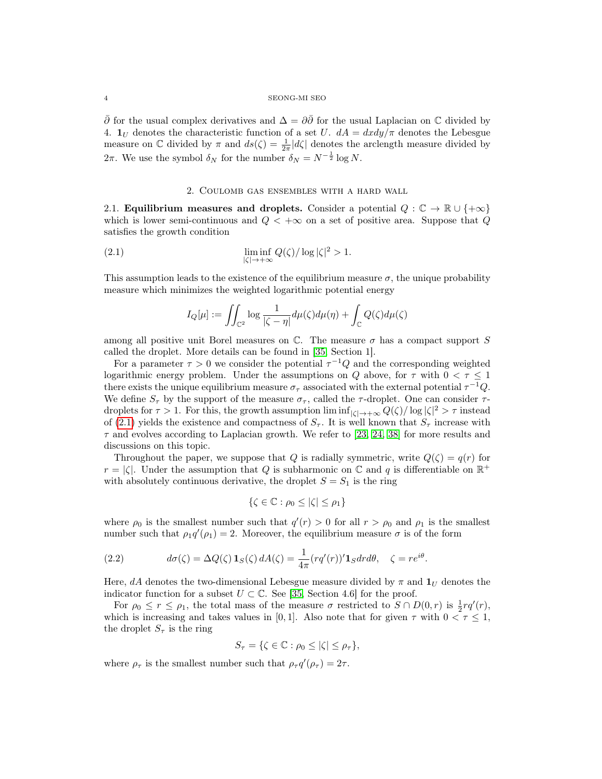$\bar{\partial}$  for the usual complex derivatives and  $\Delta = \partial \bar{\partial}$  for the usual Laplacian on  $\mathbb C$  divided by 4.  $\mathbf{1}_U$  denotes the characteristic function of a set U.  $dA = dxdy/\pi$  denotes the Lebesgue measure on  $\mathbb C$  divided by  $\pi$  and  $ds(\zeta) = \frac{1}{2\pi} |d\zeta|$  denotes the arclength measure divided by 2π. We use the symbol  $\delta_N$  for the number  $\delta_N = N^{-\frac{1}{2}} \log N$ .

## 2. Coulomb gas ensembles with a hard wall

<span id="page-3-0"></span>2.1. Equilibrium measures and droplets. Consider a potential  $Q : \mathbb{C} \to \mathbb{R} \cup \{+\infty\}$ which is lower semi-continuous and  $Q < +\infty$  on a set of positive area. Suppose that Q satisfies the growth condition

<span id="page-3-1"></span>(2.1) 
$$
\liminf_{|\zeta| \to +\infty} Q(\zeta) / \log |\zeta|^2 > 1.
$$

This assumption leads to the existence of the equilibrium measure  $\sigma$ , the unique probability measure which minimizes the weighted logarithmic potential energy

$$
I_Q[\mu] := \iint_{\mathbb{C}^2} \log \frac{1}{|\zeta - \eta|} d\mu(\zeta) d\mu(\eta) + \int_{\mathbb{C}} Q(\zeta) d\mu(\zeta)
$$

among all positive unit Borel measures on  $\mathbb C$ . The measure  $\sigma$  has a compact support S called the droplet. More details can be found in [\[35,](#page-19-12) Section 1].

For a parameter  $\tau > 0$  we consider the potential  $\tau^{-1}Q$  and the corresponding weighted logarithmic energy problem. Under the assumptions on Q above, for  $\tau$  with  $0 < \tau \leq 1$ there exists the unique equilibrium measure  $\sigma_{\tau}$  associated with the external potential  $\tau^{-1}Q$ . We define  $S_{\tau}$  by the support of the measure  $\sigma_{\tau}$ , called the  $\tau$ -droplet. One can consider  $\tau$ droplets for  $\tau > 1$ . For this, the growth assumption  $\liminf_{|\zeta| \to +\infty} Q(\zeta)/\log |\zeta|^2 > \tau$  instead of [\(2.1\)](#page-3-1) yields the existence and compactness of  $S_{\tau}$ . It is well known that  $S_{\tau}$  increase with  $\tau$  and evolves according to Laplacian growth. We refer to [\[23,](#page-19-1) [24,](#page-19-5) [38\]](#page-19-13) for more results and discussions on this topic.

Throughout the paper, we suppose that Q is radially symmetric, write  $Q(\zeta) = q(r)$  for  $r = |\zeta|$ . Under the assumption that Q is subharmonic on C and q is differentiable on  $\mathbb{R}^+$ with absolutely continuous derivative, the droplet  $S = S_1$  is the ring

$$
\{\zeta \in \mathbb{C} : \rho_0 \le |\zeta| \le \rho_1\}
$$

where  $\rho_0$  is the smallest number such that  $q'(r) > 0$  for all  $r > \rho_0$  and  $\rho_1$  is the smallest number such that  $\rho_1 q'(\rho_1) = 2$ . Moreover, the equilibrium measure  $\sigma$  is of the form

<span id="page-3-2"></span>(2.2) 
$$
d\sigma(\zeta) = \Delta Q(\zeta) \mathbf{1}_S(\zeta) dA(\zeta) = \frac{1}{4\pi} (r q'(r))' \mathbf{1}_S dr d\theta, \quad \zeta = r e^{i\theta}.
$$

Here, dA denotes the two-dimensional Lebesgue measure divided by  $\pi$  and  $\mathbf{1}_U$  denotes the indicator function for a subset  $U \subset \mathbb{C}$ . See [\[35,](#page-19-12) Section 4.6] for the proof.

For  $\rho_0 \le r \le \rho_1$ , the total mass of the measure  $\sigma$  restricted to  $S \cap D(0,r)$  is  $\frac{1}{2}rq'(r)$ , which is increasing and takes values in [0, 1]. Also note that for given  $\tau$  with  $0 < \tau \leq 1$ , the droplet  $S_{\tau}$  is the ring

$$
S_{\tau} = \{ \zeta \in \mathbb{C} : \rho_0 \leq |\zeta| \leq \rho_{\tau} \},\
$$

where  $\rho_{\tau}$  is the smallest number such that  $\rho_{\tau} q'(\rho_{\tau}) = 2\tau$ .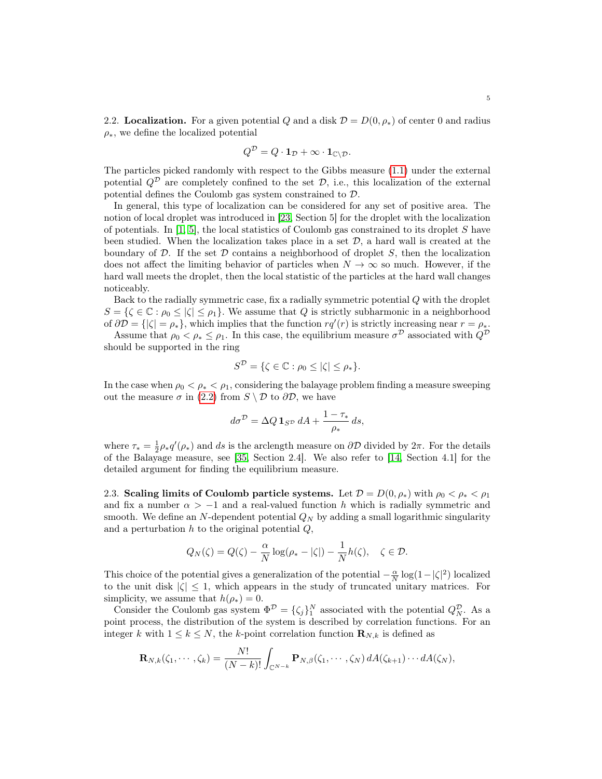<span id="page-4-0"></span>2.2. Localization. For a given potential Q and a disk  $\mathcal{D} = D(0, \rho_*)$  of center 0 and radius  $\rho_{*}$ , we define the localized potential

$$
Q^{\mathcal{D}} = Q \cdot \mathbf{1}_{\mathcal{D}} + \infty \cdot \mathbf{1}_{\mathbb{C} \setminus \mathcal{D}}.
$$

The particles picked randomly with respect to the Gibbs measure [\(1.1\)](#page-0-0) under the external potential  $Q^{\mathcal{D}}$  are completely confined to the set  $\mathcal{D}$ , i.e., this localization of the external potential defines the Coulomb gas system constrained to  $\mathcal{D}$ .

In general, this type of localization can be considered for any set of positive area. The notion of local droplet was introduced in [\[23,](#page-19-1) Section 5] for the droplet with the localization of potentials. In  $[1, 5]$  $[1, 5]$ , the local statistics of Coulomb gas constrained to its droplet S have been studied. When the localization takes place in a set  $\mathcal{D}$ , a hard wall is created at the boundary of  $D$ . If the set  $D$  contains a neighborhood of droplet  $S$ , then the localization does not affect the limiting behavior of particles when  $N \to \infty$  so much. However, if the hard wall meets the droplet, then the local statistic of the particles at the hard wall changes noticeably.

Back to the radially symmetric case, fix a radially symmetric potential Q with the droplet  $S = \{ \zeta \in \mathbb{C} : \rho_0 \leq |\zeta| \leq \rho_1 \}.$  We assume that Q is strictly subharmonic in a neighborhood of  $\partial \mathcal{D} = \{ |\zeta| = \rho_* \},\$  which implies that the function  $rq'(r)$  is strictly increasing near  $r = \rho_*$ .

Assume that  $\rho_0 < \rho_* \le \rho_1$ . In this case, the equilibrium measure  $\sigma^{\mathcal{D}}$  associated with  $Q^{\mathcal{D}}$ should be supported in the ring

$$
S^{\mathcal{D}} = \{ \zeta \in \mathbb{C} : \rho_0 \leq |\zeta| \leq \rho_* \}.
$$

In the case when  $\rho_0 < \rho_* < \rho_1$ , considering the balayage problem finding a measure sweeping out the measure  $\sigma$  in [\(2.2\)](#page-3-2) from  $S \setminus \mathcal{D}$  to  $\partial \mathcal{D}$ , we have

$$
d\sigma^{\mathcal{D}} = \Delta Q \mathbf{1}_{S^{\mathcal{D}}} dA + \frac{1 - \tau_*}{\rho_*} ds,
$$

where  $\tau_* = \frac{1}{2}\rho_* q'(\rho_*)$  and ds is the arclength measure on  $\partial \mathcal{D}$  divided by  $2\pi$ . For the details of the Balayage measure, see [\[35,](#page-19-12) Section 2.4]. We also refer to [\[14,](#page-18-11) Section 4.1] for the detailed argument for finding the equilibrium measure.

2.3. Scaling limits of Coulomb particle systems. Let  $\mathcal{D} = D(0, \rho_*)$  with  $\rho_0 < \rho_* < \rho_1$ and fix a number  $\alpha > -1$  and a real-valued function h which is radially symmetric and smooth. We define an N-dependent potential  $Q_N$  by adding a small logarithmic singularity and a perturbation  $h$  to the original potential  $Q$ ,

$$
Q_N(\zeta) = Q(\zeta) - \frac{\alpha}{N} \log(\rho_* - |\zeta|) - \frac{1}{N} h(\zeta), \quad \zeta \in \mathcal{D}.
$$

This choice of the potential gives a generalization of the potential  $-\frac{\alpha}{N} \log(1 - |\zeta|^2)$  localized to the unit disk  $|\zeta| \leq 1$ , which appears in the study of truncated unitary matrices. For simplicity, we assume that  $h(\rho_*) = 0$ .

Consider the Coulomb gas system  $\Phi^D = {\zeta_j}_1^N$  associated with the potential  $Q_N^D$ . As a point process, the distribution of the system is described by correlation functions. For an integer k with  $1 \leq k \leq N$ , the k-point correlation function  $\mathbf{R}_{N,k}$  is defined as

$$
\mathbf{R}_{N,k}(\zeta_1,\cdots,\zeta_k)=\frac{N!}{(N-k)!}\int_{\mathbb{C}^{N-k}}\mathbf{P}_{N,\beta}(\zeta_1,\cdots,\zeta_N)\,dA(\zeta_{k+1})\cdots dA(\zeta_N),
$$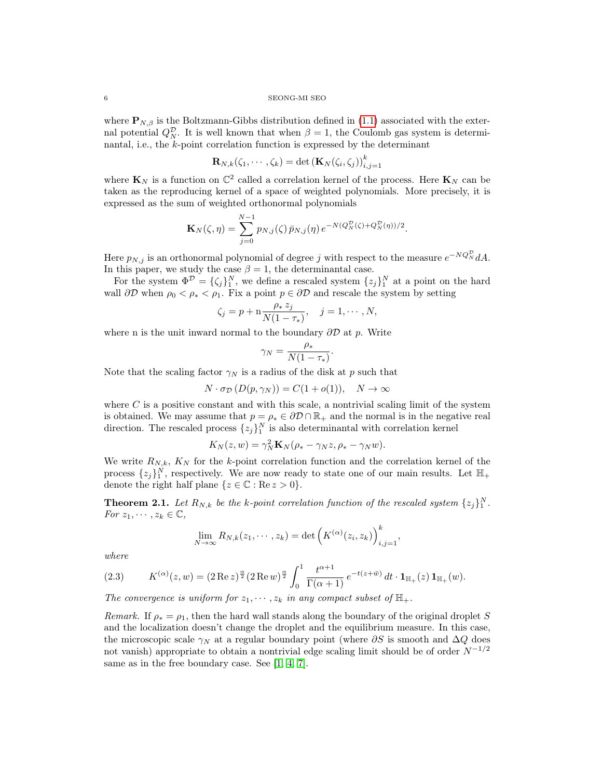where  $\mathbf{P}_{N,\beta}$  is the Boltzmann-Gibbs distribution defined in [\(1.1\)](#page-0-0) associated with the external potential  $Q_N^{\mathcal{D}}$ . It is well known that when  $\beta = 1$ , the Coulomb gas system is determinantal, i.e., the k-point correlation function is expressed by the determinant

$$
\mathbf{R}_{N,k}(\zeta_1,\cdots,\zeta_k)=\det\left(\mathbf{K}_N(\zeta_i,\zeta_j)\right)_{i,j=1}^k
$$

where  $\mathbf{K}_N$  is a function on  $\mathbb{C}^2$  called a correlation kernel of the process. Here  $\mathbf{K}_N$  can be taken as the reproducing kernel of a space of weighted polynomials. More precisely, it is expressed as the sum of weighted orthonormal polynomials

$$
\mathbf{K}_{N}(\zeta,\eta) = \sum_{j=0}^{N-1} p_{N,j}(\zeta) \, \bar{p}_{N,j}(\eta) \, e^{-N(Q_{N}^{\mathcal{D}}(\zeta) + Q_{N}^{\mathcal{D}}(\eta))/2}.
$$

Here  $p_{N,j}$  is an orthonormal polynomial of degree j with respect to the measure  $e^{-NQ_N^{\mathcal{D}}}dA$ . In this paper, we study the case  $\beta = 1$ , the determinantal case.

For the system  $\Phi^{\mathcal{D}} = {\{\zeta_j\}_1^N}$ , we define a rescaled system  $\{z_j\}_1^N$  at a point on the hard wall  $\partial \mathcal{D}$  when  $\rho_0 < \rho_* < \rho_1$ . Fix a point  $p \in \partial \mathcal{D}$  and rescale the system by setting

$$
\zeta_j = p + \mathbf{n} \frac{\rho_* z_j}{N(1 - \tau_*)}, \quad j = 1, \cdots, N,
$$

where n is the unit inward normal to the boundary  $\partial \mathcal{D}$  at p. Write

$$
\gamma_N = \frac{\rho_*}{N(1-\tau_*)}.
$$

Note that the scaling factor  $\gamma_N$  is a radius of the disk at p such that

$$
N \cdot \sigma_{\mathcal{D}}\left(D(p, \gamma_N)\right) = C(1 + o(1)), \quad N \to \infty
$$

where  $C$  is a positive constant and with this scale, a nontrivial scaling limit of the system is obtained. We may assume that  $p = \rho_* \in \partial \mathcal{D} \cap \mathbb{R}_+$  and the normal is in the negative real direction. The rescaled process  $\{z_j\}_1^N$  is also determinantal with correlation kernel

$$
K_N(z, w) = \gamma_N^2 \mathbf{K}_N(\rho_* - \gamma_N z, \rho_* - \gamma_N w).
$$

We write  $R_{N,k}$ ,  $K_N$  for the k-point correlation function and the correlation kernel of the process  $\{z_j\}_1^N$ , respectively. We are now ready to state one of our main results. Let  $\mathbb{H}_+$ denote the right half plane  $\{z \in \mathbb{C} : \text{Re } z > 0\}.$ 

<span id="page-5-0"></span>**Theorem 2.1.** Let  $R_{N,k}$  be the k-point correlation function of the rescaled system  $\{z_j\}_1^N$ . For  $z_1, \dots, z_k \in \mathbb{C}$ ,

$$
\lim_{N \to \infty} R_{N,k}(z_1, \cdots, z_k) = \det \left( K^{(\alpha)}(z_i, z_k) \right)_{i,j=1}^k
$$

,

where

<span id="page-5-1"></span>
$$
(2.3) \t K^{(\alpha)}(z,w) = (2 \operatorname{Re} z)^{\frac{\alpha}{2}} (2 \operatorname{Re} w)^{\frac{\alpha}{2}} \int_0^1 \frac{t^{\alpha+1}}{\Gamma(\alpha+1)} e^{-t(z+\bar{w})} dt \cdot \mathbf{1}_{\mathbb{H}_+}(z) \mathbf{1}_{\mathbb{H}_+}(w).
$$

The convergence is uniform for  $z_1, \dots, z_k$  in any compact subset of  $\mathbb{H}_+$ .

Remark. If  $\rho_* = \rho_1$ , then the hard wall stands along the boundary of the original droplet S and the localization doesn't change the droplet and the equilibrium measure. In this case, the microscopic scale  $\gamma_N$  at a regular boundary point (where  $\partial S$  is smooth and  $\Delta Q$  does not vanish) appropriate to obtain a nontrivial edge scaling limit should be of order  $N^{-1/2}$ same as in the free boundary case. See [\[1,](#page-18-7) [4,](#page-18-8) [7\]](#page-18-9).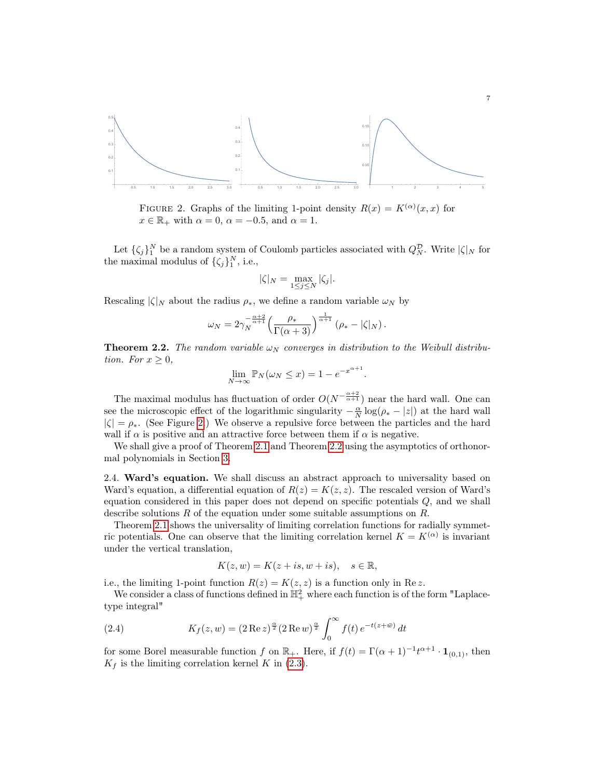

<span id="page-6-0"></span>FIGURE 2. Graphs of the limiting 1-point density  $R(x) = K^{(\alpha)}(x, x)$  for  $x \in \mathbb{R}_+$  with  $\alpha = 0$ ,  $\alpha = -0.5$ , and  $\alpha = 1$ .

Let  $\{\zeta_j\}_1^N$  be a random system of Coulomb particles associated with  $Q_N^{\mathcal{D}}$ . Write  $|\zeta|_N$  for the maximal modulus of  $\{\zeta_j\}_1^N$ , i.e.,

$$
|\zeta|_N = \max_{1 \le j \le N} |\zeta_j|.
$$

Rescaling  $|\zeta|_N$  about the radius  $\rho_*$ , we define a random variable  $\omega_N$  by

$$
\omega_N = 2\gamma_N^{-\frac{\alpha+2}{\alpha+1}} \left(\frac{\rho_*}{\Gamma(\alpha+3)}\right)^{\frac{1}{\alpha+1}} \left(\rho_* - |\zeta|_N\right).
$$

<span id="page-6-1"></span>**Theorem 2.2.** The random variable  $\omega_N$  converges in distribution to the Weibull distribution. For  $x \geq 0$ ,

$$
\lim_{N \to \infty} \mathbb{P}_N(\omega_N \le x) = 1 - e^{-x^{\alpha+1}}
$$

.

The maximal modulus has fluctuation of order  $O(N^{-\frac{\alpha+2}{\alpha+1}})$  near the hard wall. One can see the microscopic effect of the logarithmic singularity  $-\frac{\alpha}{N}\log(\rho_* - |z|)$  at the hard wall  $|\zeta| = \rho_*$ . (See Figure [2.](#page-6-0)) We observe a repulsive force between the particles and the hard wall if  $\alpha$  is positive and an attractive force between them if  $\alpha$  is negative.

We shall give a proof of Theorem [2.1](#page-5-0) and Theorem [2.2](#page-6-1) using the asymptotics of orthonormal polynomials in Section [3.](#page-8-0)

2.4. Ward's equation. We shall discuss an abstract approach to universality based on Ward's equation, a differential equation of  $R(z) = K(z, z)$ . The rescaled version of Ward's equation considered in this paper does not depend on specific potentials Q, and we shall describe solutions  $R$  of the equation under some suitable assumptions on  $R$ .

Theorem [2.1](#page-5-0) shows the universality of limiting correlation functions for radially symmetric potentials. One can observe that the limiting correlation kernel  $K = K^{(\alpha)}$  is invariant under the vertical translation,

$$
K(z, w) = K(z + is, w + is), \quad s \in \mathbb{R},
$$

i.e., the limiting 1-point function  $R(z) = K(z, z)$  is a function only in Re z.

We consider a class of functions defined in  $\mathbb{H}^2_+$  where each function is of the form "Laplacetype integral"

<span id="page-6-2"></span>(2.4) 
$$
K_f(z, w) = (2 \operatorname{Re} z)^{\frac{\alpha}{2}} (2 \operatorname{Re} w)^{\frac{\alpha}{2}} \int_0^{\infty} f(t) e^{-t(z + \bar{w})} dt
$$

for some Borel measurable function f on  $\mathbb{R}_+$ . Here, if  $f(t) = \Gamma(\alpha + 1)^{-1} t^{\alpha+1} \cdot \mathbf{1}_{(0,1)}$ , then  $K_f$  is the limiting correlation kernel K in [\(2.3\)](#page-5-1).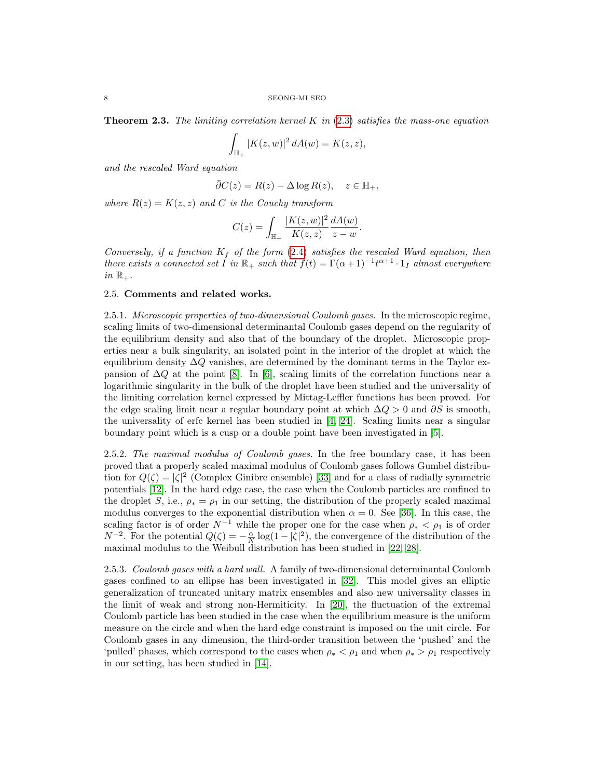<span id="page-7-0"></span>**Theorem 2.3.** The limiting correlation kernel K in  $(2.3)$  satisfies the mass-one equation

$$
\int_{\mathbb{H}_+} |K(z, w)|^2 dA(w) = K(z, z),
$$

and the rescaled Ward equation

$$
\bar{\partial}C(z) = R(z) - \Delta \log R(z), \quad z \in \mathbb{H}_+,
$$

where  $R(z) = K(z, z)$  and C is the Cauchy transform

$$
C(z) = \int_{\mathbb{H}_+} \frac{|K(z, w)|^2}{K(z, z)} \frac{dA(w)}{z - w}.
$$

Conversely, if a function  $K_f$  of the form [\(2.4\)](#page-6-2) satisfies the rescaled Ward equation, then there exists a connected set I in  $\mathbb{R}_+$  such that  $f(t) = \Gamma(\alpha+1)^{-1}t^{\alpha+1} \cdot \mathbf{1}_I$  almost everywhere in  $\mathbb{R}_+$ .

## 2.5. Comments and related works.

2.5.1. Microscopic properties of two-dimensional Coulomb gases. In the microscopic regime, scaling limits of two-dimensional determinantal Coulomb gases depend on the regularity of the equilibrium density and also that of the boundary of the droplet. Microscopic properties near a bulk singularity, an isolated point in the interior of the droplet at which the equilibrium density  $\Delta Q$  vanishes, are determined by the dominant terms in the Taylor expansion of  $\Delta Q$  at the point [\[8\]](#page-18-12). In [\[6\]](#page-18-13), scaling limits of the correlation functions near a logarithmic singularity in the bulk of the droplet have been studied and the universality of the limiting correlation kernel expressed by Mittag-Leffler functions has been proved. For the edge scaling limit near a regular boundary point at which  $\Delta Q > 0$  and  $\partial S$  is smooth, the universality of erfc kernel has been studied in [\[4,](#page-18-8) [24\]](#page-19-5). Scaling limits near a singular boundary point which is a cusp or a double point have been investigated in [\[5\]](#page-18-10).

2.5.2. The maximal modulus of Coulomb gases. In the free boundary case, it has been proved that a properly scaled maximal modulus of Coulomb gases follows Gumbel distribution for  $Q(\zeta) = |\zeta|^2$  (Complex Ginibre ensemble) [\[33\]](#page-19-14) and for a class of radially symmetric potentials [\[12\]](#page-18-14). In the hard edge case, the case when the Coulomb particles are confined to the droplet S, i.e.,  $\rho_* = \rho_1$  in our setting, the distribution of the properly scaled maximal modulus converges to the exponential distribution when  $\alpha = 0$ . See [\[36\]](#page-19-15). In this case, the scaling factor is of order  $N^{-1}$  while the proper one for the case when  $\rho_* < \rho_1$  is of order  $N^{-2}$ . For the potential  $Q(\zeta) = -\frac{\alpha}{N} \log(1 - |\zeta|^2)$ , the convergence of the distribution of the maximal modulus to the Weibull distribution has been studied in [\[22,](#page-19-16) [28\]](#page-19-17).

2.5.3. Coulomb gases with a hard wall. A family of two-dimensional determinantal Coulomb gases confined to an ellipse has been investigated in [\[32\]](#page-19-18). This model gives an elliptic generalization of truncated unitary matrix ensembles and also new universality classes in the limit of weak and strong non-Hermiticity. In [\[20\]](#page-19-19), the fluctuation of the extremal Coulomb particle has been studied in the case when the equilibrium measure is the uniform measure on the circle and when the hard edge constraint is imposed on the unit circle. For Coulomb gases in any dimension, the third-order transition between the 'pushed' and the 'pulled' phases, which correspond to the cases when  $\rho_* < \rho_1$  and when  $\rho_* > \rho_1$  respectively in our setting, has been studied in [\[14\]](#page-18-11).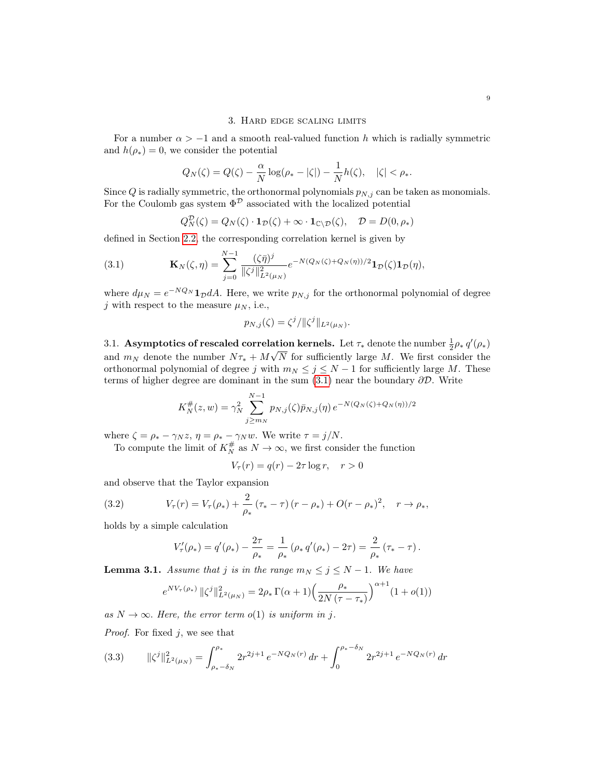## 3. Hard edge scaling limits

<span id="page-8-0"></span>For a number  $\alpha > -1$  and a smooth real-valued function h which is radially symmetric and  $h(\rho_*) = 0$ , we consider the potential

$$
Q_N(\zeta) = Q(\zeta) - \frac{\alpha}{N} \log(\rho_* - |\zeta|) - \frac{1}{N} h(\zeta), \quad |\zeta| < \rho_*.
$$

Since  $Q$  is radially symmetric, the orthonormal polynomials  $p_{N,j}$  can be taken as monomials. For the Coulomb gas system  $\Phi^{\mathcal{D}}$  associated with the localized potential

$$
Q_N^{\mathcal{D}}(\zeta) = Q_N(\zeta) \cdot \mathbf{1}_{\mathcal{D}}(\zeta) + \infty \cdot \mathbf{1}_{\mathbb{C}\setminus\mathcal{D}}(\zeta), \quad \mathcal{D} = D(0, \rho_*)
$$

defined in Section [2.2,](#page-4-0) the corresponding correlation kernel is given by

<span id="page-8-1"></span>(3.1) 
$$
\mathbf{K}_{N}(\zeta,\eta) = \sum_{j=0}^{N-1} \frac{(\zeta\bar{\eta})^{j}}{\|\zeta^{j}\|_{L^{2}(\mu_{N})}^{2}} e^{-N(Q_{N}(\zeta)+Q_{N}(\eta))/2} \mathbf{1}_{\mathcal{D}}(\zeta) \mathbf{1}_{\mathcal{D}}(\eta),
$$

where  $d\mu_N = e^{-NQ_N} \mathbf{1}_{\mathcal{D}} dA$ . Here, we write  $p_{N,j}$  for the orthonormal polynomial of degree j with respect to the measure  $\mu_N$ , i.e.,

$$
p_{N,j}(\zeta) = \zeta^j / \|\zeta^j\|_{L^2(\mu_N)}.
$$

<span id="page-8-5"></span>3.1. Asymptotics of rescaled correlation kernels. Let  $\tau_*$  denote the number  $\frac{1}{2}\rho_* q'(\rho_*)$ and  $m_N$  denote the number  $N\tau_* + M\sqrt{N}$  for sufficiently large M. We first consider the orthonormal polynomial of degree j with  $m_N \leq j \leq N-1$  for sufficiently large M. These terms of higher degree are dominant in the sum  $(3.1)$  near the boundary  $\partial \mathcal{D}$ . Write

$$
K_N^{\#}(z, w) = \gamma_N^2 \sum_{j \ge m_N}^{N-1} p_{N,j}(\zeta) \bar{p}_{N,j}(\eta) e^{-N(Q_N(\zeta) + Q_N(\eta))/2}
$$

where  $\zeta = \rho_* - \gamma_N z$ ,  $\eta = \rho_* - \gamma_N w$ . We write  $\tau = j/N$ .

To compute the limit of  $K_N^{\#}$  as  $N \to \infty$ , we first consider the function

$$
V_{\tau}(r) = q(r) - 2\tau \log r, \quad r > 0
$$

and observe that the Taylor expansion

<span id="page-8-2"></span>(3.2) 
$$
V_{\tau}(r) = V_{\tau}(\rho_*) + \frac{2}{\rho_*} (\tau_* - \tau) (r - \rho_*) + O(r - \rho_*)^2, \quad r \to \rho_*,
$$

holds by a simple calculation

$$
V'_{\tau}(\rho_*) = q'(\rho_*) - \frac{2\tau}{\rho_*} = \frac{1}{\rho_*} (\rho_* q'(\rho_*) - 2\tau) = \frac{2}{\rho_*} (\tau_* - \tau).
$$

<span id="page-8-4"></span>**Lemma 3.1.** Assume that j is in the range  $m_N \leq j \leq N-1$ . We have

$$
e^{NV_{\tau}(\rho_{*})} \, \|\zeta^{j}\|_{L^{2}(\mu_{N})}^{2} = 2\rho_{*} \, \Gamma(\alpha+1) \Big(\frac{\rho_{*}}{2N(\tau-\tau_{*})}\Big)^{\alpha+1} (1+o(1))
$$

as  $N \to \infty$ . Here, the error term o(1) is uniform in j.

*Proof.* For fixed  $j$ , we see that

<span id="page-8-3"></span>
$$
(3.3) \qquad \|\zeta^j\|_{L^2(\mu_N)}^2 = \int_{\rho_*-\delta_N}^{\rho_*} 2r^{2j+1} \, e^{-NQ_N(r)} \, dr + \int_0^{\rho_*-\delta_N} 2r^{2j+1} \, e^{-NQ_N(r)} \, dr
$$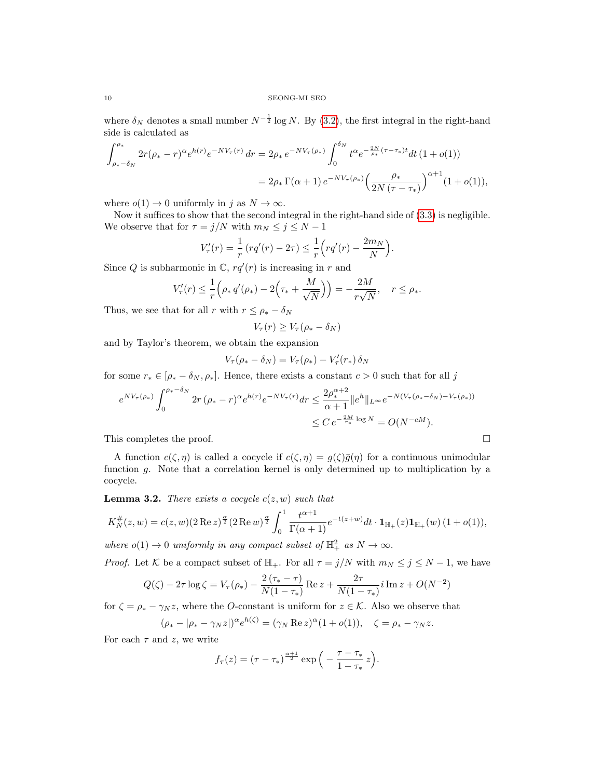where  $\delta_N$  denotes a small number  $N^{-\frac{1}{2}} \log N$ . By [\(3.2\)](#page-8-2), the first integral in the right-hand side is calculated as

$$
\int_{\rho_*-\delta_N}^{\rho_*} 2r(\rho_*-r)^\alpha e^{h(r)} e^{-NV_\tau(r)} dr = 2\rho_* e^{-NV_\tau(\rho_*)} \int_0^{\delta_N} t^\alpha e^{-\frac{2N}{\rho_*}(\tau-\tau_*)t} dt (1+o(1))
$$
  
=  $2\rho_* \Gamma(\alpha+1) e^{-NV_\tau(\rho_*)} \left(\frac{\rho_*}{2N(\tau-\tau_*)}\right)^{\alpha+1} (1+o(1)),$ 

where  $o(1) \rightarrow 0$  uniformly in j as  $N \rightarrow \infty$ .

Now it suffices to show that the second integral in the right-hand side of [\(3.3\)](#page-8-3) is negligible. We observe that for  $\tau = j/N$  with  $m_N \le j \le N - 1$ 

$$
V'_{\tau}(r) = \frac{1}{r} (r q'(r) - 2\tau) \leq \frac{1}{r} \Big( r q'(r) - \frac{2m_N}{N} \Big).
$$

Since Q is subharmonic in  $\mathbb{C}$ ,  $rq'(r)$  is increasing in r and

$$
V'_{\tau}(r) \leq \frac{1}{r} \Big( \rho_* q'(\rho_*) - 2 \Big( \tau_* + \frac{M}{\sqrt{N}} \Big) \Big) = -\frac{2M}{r\sqrt{N}}, \quad r \leq \rho_*.
$$

Thus, we see that for all r with  $r \leq \rho_* - \delta_N$ 

$$
V_{\tau}(r) \ge V_{\tau}(\rho_* - \delta_N)
$$

and by Taylor's theorem, we obtain the expansion

$$
V_{\tau}(\rho_* - \delta_N) = V_{\tau}(\rho_*) - V'_{\tau}(r_*) \delta_N
$$

for some  $r_* \in [\rho_* - \delta_N, \rho_*]$ . Hence, there exists a constant  $c > 0$  such that for all j

$$
e^{NV_{\tau}(\rho_{*})} \int_{0}^{\rho_{*}-\delta_{N}} 2r (\rho_{*}-r)^{\alpha} e^{h(r)} e^{-NV_{\tau}(r)} dr \leq \frac{2\rho_{*}^{\alpha+2}}{\alpha+1} \|e^{h}\|_{L^{\infty}} e^{-N(V_{\tau}(\rho_{*}-\delta_{N})-V_{\tau}(\rho_{*}))}
$$
  

$$
\leq C e^{-\frac{2M}{\tau_{*}} \log N} = O(N^{-cM}).
$$

This completes the proof.  $\Box$ 

A function  $c(\zeta, \eta)$  is called a cocycle if  $c(\zeta, \eta) = g(\zeta)\overline{g}(\eta)$  for a continuous unimodular function g. Note that a correlation kernel is only determined up to multiplication by a cocycle.

<span id="page-9-0"></span>**Lemma 3.2.** There exists a cocycle  $c(z, w)$  such that

$$
K_N^{\#}(z, w) = c(z, w)(2 \operatorname{Re} z)^{\frac{\alpha}{2}} (2 \operatorname{Re} w)^{\frac{\alpha}{2}} \int_0^1 \frac{t^{\alpha+1}}{\Gamma(\alpha+1)} e^{-t(z+\bar{w})} dt \cdot \mathbf{1}_{\mathbb{H}_+}(z) \mathbf{1}_{\mathbb{H}_+}(w) (1+o(1)),
$$

where  $o(1) \to 0$  uniformly in any compact subset of  $\mathbb{H}^2_+$  as  $N \to \infty$ .

*Proof.* Let K be a compact subset of  $\mathbb{H}_+$ . For all  $\tau = j/N$  with  $m_N \leq j \leq N-1$ , we have

$$
Q(\zeta) - 2\tau \log \zeta = V_{\tau}(\rho_*) - \frac{2(\tau_* - \tau)}{N(1 - \tau_*)} \operatorname{Re} z + \frac{2\tau}{N(1 - \tau_*)} i \operatorname{Im} z + O(N^{-2})
$$

for  $\zeta = \rho_* - \gamma_N z$ , where the *O*-constant is uniform for  $z \in \mathcal{K}$ . Also we observe that

$$
(\rho_* - |\rho_* - \gamma_N z|)^{\alpha} e^{h(\zeta)} = (\gamma_N \operatorname{Re} z)^{\alpha} (1 + o(1)), \quad \zeta = \rho_* - \gamma_N z.
$$

For each  $\tau$  and z, we write

$$
f_{\tau}(z) = (\tau - \tau_*)^{\frac{\alpha+1}{2}} \exp\left(-\frac{\tau - \tau_*}{1 - \tau_*}z\right).
$$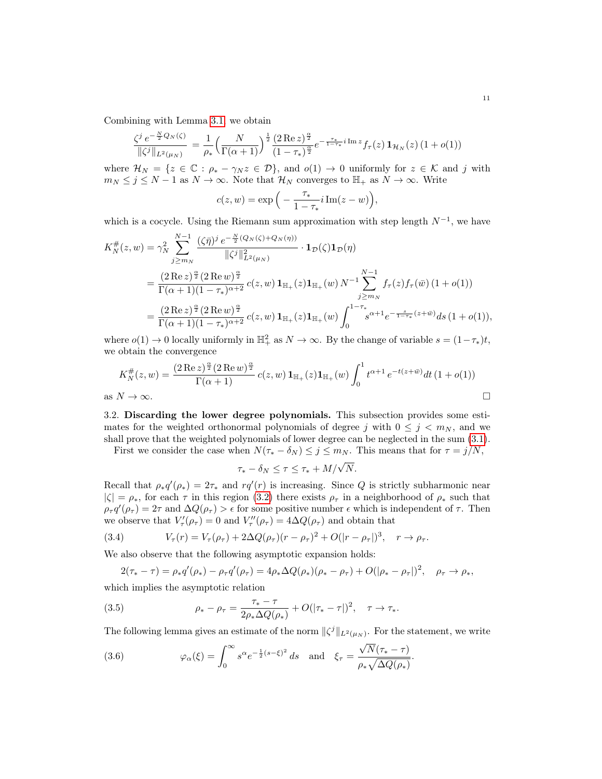Combining with Lemma [3.1,](#page-8-4) we obtain

$$
\frac{\zeta^j e^{-\frac{N}{2}Q_N(\zeta)}}{\|\zeta^j\|_{L^2(\mu_N)}} = \frac{1}{\rho_*} \left(\frac{N}{\Gamma(\alpha+1)}\right)^{\frac{1}{2}} \frac{(2 \operatorname{Re} z)^{\frac{\alpha}{2}}}{(1-\tau_*)^{\frac{\alpha}{2}}} e^{-\frac{\tau_*}{1-\tau_*}i \operatorname{Im} z} f_\tau(z) \mathbf{1}_{\mathcal{H}_N}(z) \left(1+o(1)\right)
$$

where  $\mathcal{H}_N = \{z \in \mathbb{C} : \rho_* - \gamma_N z \in \mathcal{D}\}\)$ , and  $o(1) \to 0$  uniformly for  $z \in \mathcal{K}$  and j with  $m_N \leq j \leq N-1$  as  $N \to \infty$ . Note that  $\mathcal{H}_N$  converges to  $\mathbb{H}_+$  as  $N \to \infty$ . Write

$$
c(z, w) = \exp\Big(-\frac{\tau_*}{1 - \tau_*} i \operatorname{Im}(z - w)\Big),\,
$$

which is a cocycle. Using the Riemann sum approximation with step length  $N^{-1}$ , we have

$$
K_N^{\#}(z, w) = \gamma_N^2 \sum_{j \ge m_N}^{N-1} \frac{(\zeta \bar{\eta})^j e^{-\frac{N}{2} (Q_N(\zeta) + Q_N(\eta))}}{\|\zeta^j\|_{L^2(\mu_N)}^2} \cdot \mathbf{1}_{\mathcal{D}}(\zeta) \mathbf{1}_{\mathcal{D}}(\eta)
$$
  
\n
$$
= \frac{(2 \operatorname{Re} z)^{\frac{\alpha}{2}} (2 \operatorname{Re} w)^{\frac{\alpha}{2}}}{\Gamma(\alpha+1)(1-\tau_*)^{\alpha+2}} c(z, w) \mathbf{1}_{\mathbb{H}_+}(z) \mathbf{1}_{\mathbb{H}_+}(w) N^{-1} \sum_{j \ge m_N}^{N-1} f_\tau(z) f_\tau(\bar{w}) (1+o(1))
$$
  
\n
$$
= \frac{(2 \operatorname{Re} z)^{\frac{\alpha}{2}} (2 \operatorname{Re} w)^{\frac{\alpha}{2}}}{\Gamma(\alpha+1)(1-\tau_*)^{\alpha+2}} c(z, w) \mathbf{1}_{\mathbb{H}_+}(z) \mathbf{1}_{\mathbb{H}_+}(w) \int_0^{1-\tau_*} s^{\alpha+1} e^{-\frac{s}{1-\tau_*}(z+\bar{w})} ds (1+o(1)),
$$

where  $o(1) \to 0$  locally uniformly in  $\mathbb{H}^2_+$  as  $N \to \infty$ . By the change of variable  $s = (1 - \tau_*)t$ , we obtain the convergence

$$
K_N^{\#}(z, w) = \frac{(2 \operatorname{Re} z)^{\frac{\alpha}{2}} (2 \operatorname{Re} w)^{\frac{\alpha}{2}}}{\Gamma(\alpha + 1)} c(z, w) \mathbf{1}_{\mathbb{H}_+}(z) \mathbf{1}_{\mathbb{H}_+}(w) \int_0^1 t^{\alpha + 1} e^{-t(z + \bar{w})} dt (1 + o(1))
$$
  
as  $N \to \infty$ .

<span id="page-10-0"></span>3.2. Discarding the lower degree polynomials. This subsection provides some estimates for the weighted orthonormal polynomials of degree j with  $0 \leq j \leq m_N$ , and we shall prove that the weighted polynomials of lower degree can be neglected in the sum [\(3.1\)](#page-8-1).

First we consider the case when  $N(\tau_* - \delta_N) \leq j \leq m_N$ . This means that for  $\tau = j/N$ ,

$$
\tau_* - \delta_N \leq \tau \leq \tau_* + M/\sqrt{N}.
$$

Recall that  $\rho_* q'(\rho_*) = 2\tau_*$  and  $rq'(r)$  is increasing. Since Q is strictly subharmonic near  $|\zeta| = \rho_*$ , for each  $\tau$  in this region [\(3.2\)](#page-10-0) there exists  $\rho_{\tau}$  in a neighborhood of  $\rho_*$  such that  $\rho_{\tau} q'(\rho_{\tau}) = 2\tau$  and  $\Delta Q(\rho_{\tau}) > \epsilon$  for some positive number  $\epsilon$  which is independent of  $\tau$ . Then we observe that  $V'_{\tau}(\rho_{\tau}) = 0$  and  $V''_{\tau}(\rho_{\tau}) = 4\Delta Q(\rho_{\tau})$  and obtain that

<span id="page-10-2"></span>(3.4) 
$$
V_{\tau}(r) = V_{\tau}(\rho_{\tau}) + 2\Delta Q(\rho_{\tau})(r - \rho_{\tau})^{2} + O(|r - \rho_{\tau}|)^{3}, \quad r \to \rho_{\tau}.
$$

We also observe that the following asymptotic expansion holds:

$$
2(\tau_* - \tau) = \rho_* q'(\rho_*) - \rho_\tau q'(\rho_\tau) = 4\rho_* \Delta Q(\rho_*) (\rho_* - \rho_\tau) + O(|\rho_* - \rho_\tau|)^2, \quad \rho_\tau \to \rho_*,
$$

which implies the asymptotic relation

<span id="page-10-1"></span>(3.5) 
$$
\rho_* - \rho_\tau = \frac{\tau_* - \tau}{2\rho_* \Delta Q(\rho_*)} + O(|\tau_* - \tau|)^2, \quad \tau \to \tau_*.
$$

The following lemma gives an estimate of the norm  $\|\zeta^j\|_{L^2(\mu_N)}$ . For the statement, we write

<span id="page-10-3"></span>(3.6) 
$$
\varphi_{\alpha}(\xi) = \int_0^{\infty} s^{\alpha} e^{-\frac{1}{2}(s-\xi)^2} ds \text{ and } \xi_{\tau} = \frac{\sqrt{N}(\tau_* - \tau)}{\rho_* \sqrt{\Delta Q(\rho_*)}}.
$$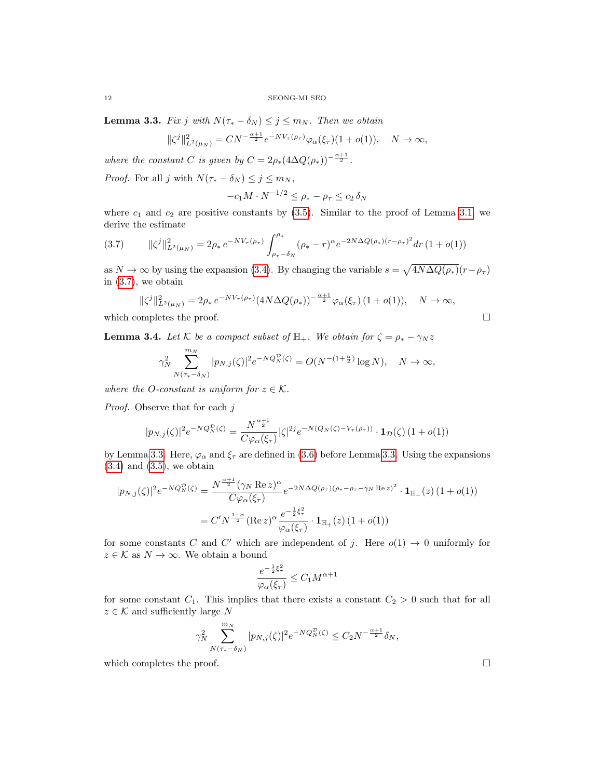<span id="page-11-1"></span>**Lemma 3.3.** Fix j with  $N(\tau_* - \delta_N) \leq j \leq m_N$ . Then we obtain

$$
\|\zeta^j\|_{L^2(\mu_N)}^2 = CN^{-\frac{\alpha+1}{2}}e^{-NV_\tau(\rho_\tau)}\varphi_\alpha(\xi_\tau)(1+o(1)), \quad N \to \infty,
$$

where the constant C is given by  $C = 2\rho_*(4\Delta Q(\rho_*))^{-\frac{\alpha+1}{2}}$ .

*Proof.* For all j with  $N(\tau_* - \delta_N) \leq j \leq m_N$ ,

$$
-c_1 M \cdot N^{-1/2} \le \rho_* - \rho_\tau \le c_2 \, \delta_N
$$

where  $c_1$  and  $c_2$  are positive constants by  $(3.5)$ . Similar to the proof of Lemma [3.1,](#page-8-4) we derive the estimate

<span id="page-11-0"></span>
$$
(3.7) \qquad \|\zeta^j\|_{L^2(\mu_N)}^2 = 2\rho_* \, e^{-NV_\tau(\rho_\tau)} \int_{\rho_\tau - \delta_N}^{\rho_*} (\rho_* - r)^\alpha e^{-2N\Delta Q(\rho_*)(r - \rho_\tau)^2} dr \, (1 + o(1))
$$

as  $N \to \infty$  by using the expansion [\(3.4\)](#page-10-2). By changing the variable  $s = \sqrt{4N\Delta Q(\rho_*)}(r-\rho_\tau)$ in  $(3.7)$ , we obtain

$$
\|\zeta^j\|_{L^2(\mu_N)}^2 = 2\rho_* e^{-NV_\tau(\rho_\tau)} (4N\Delta Q(\rho_*))^{-\frac{\alpha+1}{2}} \varphi_\alpha(\xi_\tau) (1+o(1)), \quad N \to \infty,
$$

which completes the proof.  $\Box$ 

<span id="page-11-2"></span>**Lemma 3.4.** Let K be a compact subset of  $\mathbb{H}_+$ . We obtain for  $\zeta = \rho_* - \gamma_N z$ 

$$
\gamma_N^2 \sum_{N(\tau_*-\delta_N)}^{m_N} |p_{N,j}(\zeta)|^2 e^{-NQ_N^{\mathcal{D}}(\zeta)} = O(N^{-(1+\frac{\alpha}{2})} \log N), \quad N \to \infty,
$$

where the *O*-constant is uniform for  $z \in \mathcal{K}$ .

Proof. Observe that for each j

$$
|p_{N,j}(\zeta)|^2 e^{-NQ_N^{\mathcal{D}}(\zeta)} = \frac{N^{\frac{\alpha+1}{2}}}{C\varphi_\alpha(\zeta_\tau)} |\zeta|^{2j} e^{-N(Q_N(\zeta) - V_\tau(\rho_\tau))} \cdot \mathbf{1}_{\mathcal{D}}(\zeta) (1 + o(1))
$$

by Lemma [3.3.](#page-11-1) Here,  $\varphi_{\alpha}$  and  $\xi_{\tau}$  are defined in [\(3.6\)](#page-10-3) before Lemma 3.3. Using the expansions  $(3.4)$  and  $(3.5)$ , we obtain

$$
|p_{N,j}(\zeta)|^2 e^{-NQ_N^{\mathcal{D}}(\zeta)} = \frac{N^{\frac{\alpha+1}{2}} (\gamma_N \operatorname{Re} z)^{\alpha}}{C \varphi_{\alpha}(\xi_\tau)} e^{-2N\Delta Q(\rho_\tau)(\rho_* - \rho_\tau - \gamma_N \operatorname{Re} z)^2} \cdot \mathbf{1}_{\mathbb{H}_+}(z) (1 + o(1))
$$
  
=  $C' N^{\frac{1-\alpha}{2}} (\operatorname{Re} z)^{\alpha} \frac{e^{-\frac{1}{2}\xi_\tau^2}}{\varphi_{\alpha}(\xi_\tau)} \cdot \mathbf{1}_{\mathbb{H}_+}(z) (1 + o(1))$ 

for some constants C and C' which are independent of j. Here  $o(1) \rightarrow 0$  uniformly for  $z \in \mathcal{K}$  as  $N \to \infty$ . We obtain a bound

$$
\frac{e^{-\frac{1}{2}\xi_{\tau}^{2}}}{\varphi_{\alpha}(\xi_{\tau})} \leq C_{1} M^{\alpha+1}
$$

for some constant  $C_1$ . This implies that there exists a constant  $C_2 > 0$  such that for all  $z \in \mathcal{K}$  and sufficiently large  $N$ 

$$
\gamma_N^2 \sum_{N(\tau_* - \delta_N)}^{m_N} |p_{N,j}(\zeta)|^2 e^{-NQ_N^{\mathcal{D}}(\zeta)} \le C_2 N^{-\frac{\alpha + 1}{2}} \delta_N,
$$

which completes the proof.  $\Box$ 

$$
^{12}
$$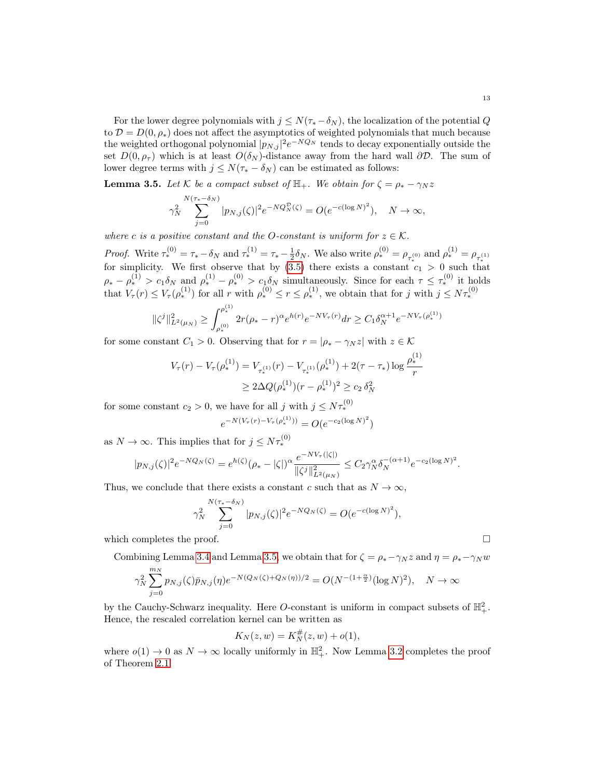For the lower degree polynomials with  $j \leq N(\tau_*-\delta_N)$ , the localization of the potential Q to  $\mathcal{D} = D(0, \rho_*)$  does not affect the asymptotics of weighted polynomials that much because the weighted orthogonal polynomial  $|p_{N,j}|^2 e^{-NQ_N}$  tends to decay exponentially outside the set  $D(0, \rho_{\tau})$  which is at least  $O(\delta_N)$ -distance away from the hard wall ∂D. The sum of lower degree terms with  $j \leq N(\tau_* - \delta_N)$  can be estimated as follows:

<span id="page-12-0"></span>**Lemma 3.5.** Let K be a compact subset of  $\mathbb{H}_+$ . We obtain for  $\zeta = \rho_* - \gamma_N z$ 

$$
\gamma_N^2 \sum_{j=0}^{N(\tau_*-\delta_N)} |p_{N,j}(\zeta)|^2 e^{-NQ_N^{\mathcal{D}}(\zeta)} = O(e^{-c(\log N)^2}), \quad N \to \infty,
$$

where c is a positive constant and the O-constant is uniform for  $z \in \mathcal{K}$ .

*Proof.* Write  $\tau_*^{(0)} = \tau_* - \delta_N$  and  $\tau_*^{(1)} = \tau_* - \frac{1}{2}\delta_N$ . We also write  $\rho_*^{(0)} = \rho_{\tau_*^{(0)}}$  and  $\rho_*^{(1)} = \rho_{\tau_*^{(1)}}$  for simplicity. We first observe that by [\(3.5\)](#page-10-1) there exists a constant  $c_1 > 0$  such that  $\rho_* - \rho_*^{(1)} > c_1 \delta_N$  and  $\rho_*^{(1)} - \rho_*^{(0)} > c_1 \delta_N$  simultaneously. Since for each  $\tau \leq \tau_*^{(0)}$  it holds that  $V_\tau(r) \leq V_\tau(\rho^{(1)}_*)$  for all r with  $\rho^{(0)}_* \leq r \leq \rho^{(1)}_*$ , we obtain that for j with  $j \leq N\tau^{(0)}_*$ 

$$
\|\zeta^j\|_{L^2(\mu_N)}^2 \ge \int_{\rho_*^{(0)}}^{\rho_*^{(1)}} 2r(\rho_*-r)^\alpha e^{h(r)} e^{-NV_\tau(r)} dr \ge C_1 \delta_N^{\alpha+1} e^{-NV_\tau(\rho_*^{(1)})}
$$

for some constant  $C_1 > 0$ . Observing that for  $r = |\rho_* - \gamma_N z|$  with  $z \in \mathcal{K}$ 

$$
V_{\tau}(r) - V_{\tau}(\rho_{*}^{(1)}) = V_{\tau_{*}^{(1)}}(r) - V_{\tau_{*}^{(1)}}(\rho_{*}^{(1)}) + 2(\tau - \tau_{*}) \log \frac{\rho_{*}^{(1)}}{r}
$$
  

$$
\geq 2\Delta Q(\rho_{*}^{(1)})(r - \rho_{*}^{(1)})^{2} \geq c_{2} \delta_{N}^{2}
$$

for some constant  $c_2 > 0$ , we have for all j with  $j \leq N\tau_*^{(0)}$ 

$$
e^{-N(V_\tau(r) - V_\tau(\rho_*^{(1)}))} = O(e^{-c_2(\log N)^2})
$$

as  $N \to \infty$ . This implies that for  $j \leq N \tau_*^{(0)}$ 

$$
|p_{N,j}(\zeta)|^2 e^{-NQ_N(\zeta)} = e^{h(\zeta)} (\rho_* - |\zeta|)^{\alpha} \frac{e^{-NV_{\tau}(|\zeta|)}}{\|\zeta^j\|_{L^2(\mu_N)}^2} \leq C_2 \gamma_N^{\alpha} \delta_N^{-(\alpha+1)} e^{-c_2(\log N)^2}.
$$

Thus, we conclude that there exists a constant c such that as  $N \to \infty$ ,

$$
\gamma_N^2 \sum_{j=0}^{N(\tau_*-\delta_N)} |p_{N,j}(\zeta)|^2 e^{-NQ_N(\zeta)} = O(e^{-c(\log N)^2}),
$$

which completes the proof.  $\Box$ 

Combining Lemma [3.4](#page-11-2) and Lemma [3.5,](#page-12-0) we obtain that for  $\zeta = \rho_* - \gamma_N z$  and  $\eta = \rho_* - \gamma_N w$ 

$$
\gamma_N^2 \sum_{j=0}^{m_N} p_{N,j}(\zeta) \bar{p}_{N,j}(\eta) e^{-N(Q_N(\zeta) + Q_N(\eta))/2} = O(N^{-(1+\frac{\alpha}{2})} (\log N)^2), \quad N \to \infty
$$

by the Cauchy-Schwarz inequality. Here *O*-constant is uniform in compact subsets of  $\mathbb{H}^2_+$ . Hence, the rescaled correlation kernel can be written as

$$
K_N(z, w) = K_N^{\#}(z, w) + o(1),
$$

where  $o(1) \to 0$  as  $N \to \infty$  locally uniformly in  $\mathbb{H}^2_+$ . Now Lemma [3.2](#page-9-0) completes the proof of Theorem [2.1.](#page-5-0)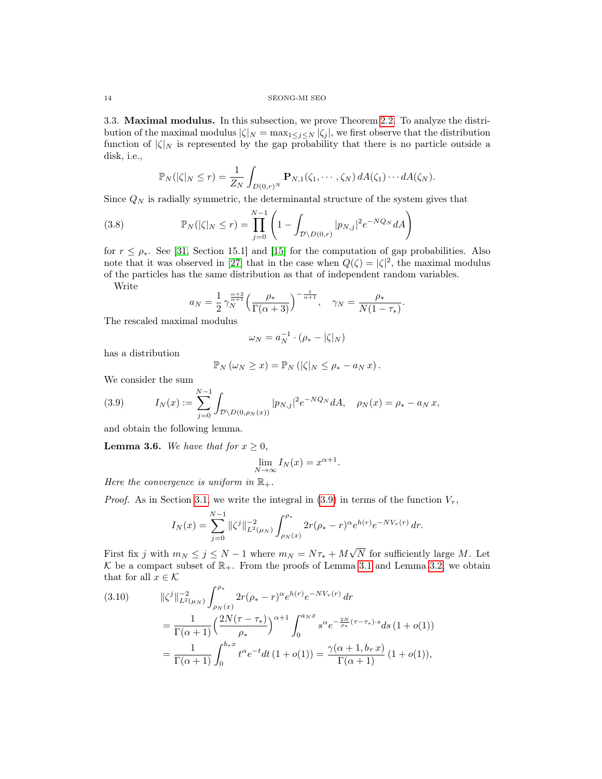3.3. Maximal modulus. In this subsection, we prove Theorem [2.2.](#page-6-1) To analyze the distribution of the maximal modulus  $|\zeta|_N = \max_{1 \leq j \leq N} |\zeta_j|$ , we first observe that the distribution function of  $|\zeta|_N$  is represented by the gap probability that there is no particle outside a disk, i.e.,

$$
\mathbb{P}_N(|\zeta|_N \leq r) = \frac{1}{Z_N} \int_{D(0,r)^N} \mathbf{P}_{N,1}(\zeta_1,\cdots,\zeta_N) dA(\zeta_1)\cdots dA(\zeta_N).
$$

Since  $Q_N$  is radially symmetric, the determinantal structure of the system gives that

<span id="page-13-3"></span>(3.8) 
$$
\mathbb{P}_N(|\zeta|_N \le r) = \prod_{j=0}^{N-1} \left(1 - \int_{\mathcal{D}\setminus D(0,r)} |p_{N,j}|^2 e^{-NQ_N} dA\right)
$$

for  $r \leq \rho_*$ . See [\[31,](#page-19-20) Section 15.1] and [\[15\]](#page-18-15) for the computation of gap probabilities. Also note that it was observed in [\[27\]](#page-19-21) that in the case when  $Q(\zeta) = |\zeta|^2$ , the maximal modulus of the particles has the same distribution as that of independent random variables.

Write

$$
a_N = \frac{1}{2} \gamma_N^{\frac{\alpha+2}{\alpha+1}} \left( \frac{\rho_*}{\Gamma(\alpha+3)} \right)^{-\frac{1}{\alpha+1}}, \quad \gamma_N = \frac{\rho_*}{N(1-\tau_*)}.
$$

The rescaled maximal modulus

$$
\omega_N = a_N^{-1} \cdot (\rho_* - |\zeta|_N)
$$

has a distribution

$$
\mathbb{P}_N(\omega_N \geq x) = \mathbb{P}_N(|\zeta|_N \leq \rho_* - a_N x).
$$

We consider the sum

<span id="page-13-0"></span>(3.9) 
$$
I_N(x) := \sum_{j=0}^{N-1} \int_{\mathcal{D} \setminus D(0,\rho_N(x))} |p_{N,j}|^2 e^{-NQ_N} dA, \quad \rho_N(x) = \rho_* - a_N x,
$$

and obtain the following lemma.

<span id="page-13-2"></span>**Lemma 3.6.** We have that for  $x \geq 0$ ,

$$
\lim_{N \to \infty} I_N(x) = x^{\alpha + 1}.
$$

Here the convergence is uniform in  $\mathbb{R}_+$ .

*Proof.* As in Section [3.1,](#page-8-5) we write the integral in [\(3.9\)](#page-13-0) in terms of the function  $V_\tau$ ,

$$
I_N(x) = \sum_{j=0}^{N-1} \|\zeta^j\|_{L^2(\mu_N)}^{-2} \int_{\rho_N(x)}^{\rho_*} 2r(\rho_* - r)^\alpha e^{h(r)} e^{-NV_\tau(r)} dr.
$$

First fix j with  $m_N \leq j \leq N-1$  where  $m_N = N\tau_* + M$ N for sufficiently large M. Let  $\mathcal K$  be a compact subset of  $\mathbb R_+$ . From the proofs of Lemma [3.1](#page-8-4) and Lemma [3.2,](#page-9-0) we obtain that for all  $x \in \mathcal{K}$ 

<span id="page-13-1"></span>(3.10) 
$$
\|\zeta^j\|_{L^2(\mu_N)}^{-2} \int_{\rho_N(x)}^{\rho_*} 2r(\rho_* - r)^\alpha e^{h(r)} e^{-NV_\tau(r)} dr \n= \frac{1}{\Gamma(\alpha+1)} \left(\frac{2N(\tau-\tau_*)}{\rho_*}\right)^{\alpha+1} \int_0^{a_N x} s^\alpha e^{-\frac{2N}{\rho_*}(\tau-\tau_*)\cdot s} ds (1+o(1)) \n= \frac{1}{\Gamma(\alpha+1)} \int_0^{b_\tau x} t^\alpha e^{-t} dt (1+o(1)) = \frac{\gamma(\alpha+1, b_\tau x)}{\Gamma(\alpha+1)} (1+o(1)),
$$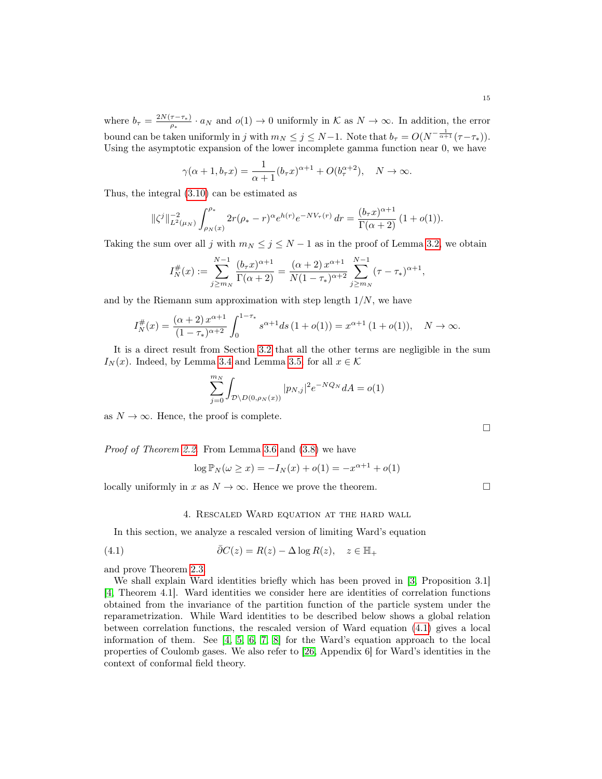where  $b_{\tau} = \frac{2N(\tau - \tau_*)}{a_{\tau}}$  $\frac{\tau-\tau_{*}}{\rho_{*}}\cdot a_{N}$  and  $o(1)\to 0$  uniformly in K as  $N\to\infty$ . In addition, the error bound can be taken uniformly in j with  $m_N \leq j \leq N-1$ . Note that  $b_\tau = O(N^{-\frac{1}{\alpha+1}}(\tau - \tau_*)$ . Using the asymptotic expansion of the lower incomplete gamma function near 0, we have

$$
\gamma(\alpha+1, b_\tau x) = \frac{1}{\alpha+1} (b_\tau x)^{\alpha+1} + O(b_\tau^{\alpha+2}), \quad N \to \infty.
$$

Thus, the integral [\(3.10\)](#page-13-1) can be estimated as

$$
\|\zeta^j\|_{L^2(\mu_N)}^{-2} \int_{\rho_N(x)}^{\rho_*} 2r(\rho_*-r)^\alpha e^{h(r)} e^{-NV_\tau(r)} dr = \frac{(b_\tau x)^{\alpha+1}}{\Gamma(\alpha+2)} (1+o(1)).
$$

Taking the sum over all j with  $m_N \leq j \leq N-1$  as in the proof of Lemma [3.2,](#page-9-0) we obtain

$$
I_N^{\#}(x) := \sum_{j \ge m_N}^{N-1} \frac{(b_\tau x)^{\alpha+1}}{\Gamma(\alpha+2)} = \frac{(\alpha+2) x^{\alpha+1}}{N(1-\tau_*)^{\alpha+2}} \sum_{j \ge m_N}^{N-1} (\tau - \tau_*)^{\alpha+1},
$$

and by the Riemann sum approximation with step length  $1/N$ , we have

$$
I_N^{\#}(x) = \frac{(\alpha+2)x^{\alpha+1}}{(1-\tau_*)^{\alpha+2}} \int_0^{1-\tau_*} s^{\alpha+1} ds (1+o(1)) = x^{\alpha+1} (1+o(1)), \quad N \to \infty.
$$

It is a direct result from Section [3.2](#page-10-0) that all the other terms are negligible in the sum  $I_N(x)$ . Indeed, by Lemma [3.4](#page-11-2) and Lemma [3.5,](#page-12-0) for all  $x \in \mathcal{K}$ 

$$
\sum_{j=0}^{m_N} \int_{\mathcal{D} \setminus D(0,\rho_N(x))} |p_{N,j}|^2 e^{-NQ_N} dA = o(1)
$$

as  $N \to \infty$ . Hence, the proof is complete.

Proof of Theorem [2.2.](#page-6-1) From Lemma [3.6](#page-13-2) and [\(3.8\)](#page-13-3) we have

$$
\log \mathbb{P}_N(\omega \ge x) = -I_N(x) + o(1) = -x^{\alpha+1} + o(1)
$$

locally uniformly in x as  $N \to \infty$ . Hence we prove the theorem.

## 4. Rescaled Ward equation at the hard wall

<span id="page-14-0"></span>In this section, we analyze a rescaled version of limiting Ward's equation

<span id="page-14-1"></span>(4.1) 
$$
\bar{\partial}C(z) = R(z) - \Delta \log R(z), \quad z \in \mathbb{H}_+
$$

and prove Theorem [2.3.](#page-7-0)

We shall explain Ward identities briefly which has been proved in [\[3,](#page-18-3) Proposition 3.1] [\[4,](#page-18-8) Theorem 4.1]. Ward identities we consider here are identities of correlation functions obtained from the invariance of the partition function of the particle system under the reparametrization. While Ward identities to be described below shows a global relation between correlation functions, the rescaled version of Ward equation [\(4.1\)](#page-14-1) gives a local information of them. See [\[4,](#page-18-8) [5,](#page-18-10) [6,](#page-18-13) [7,](#page-18-9) [8\]](#page-18-12) for the Ward's equation approach to the local properties of Coulomb gases. We also refer to [\[26,](#page-19-22) Appendix 6] for Ward's identities in the context of conformal field theory.

 $\Box$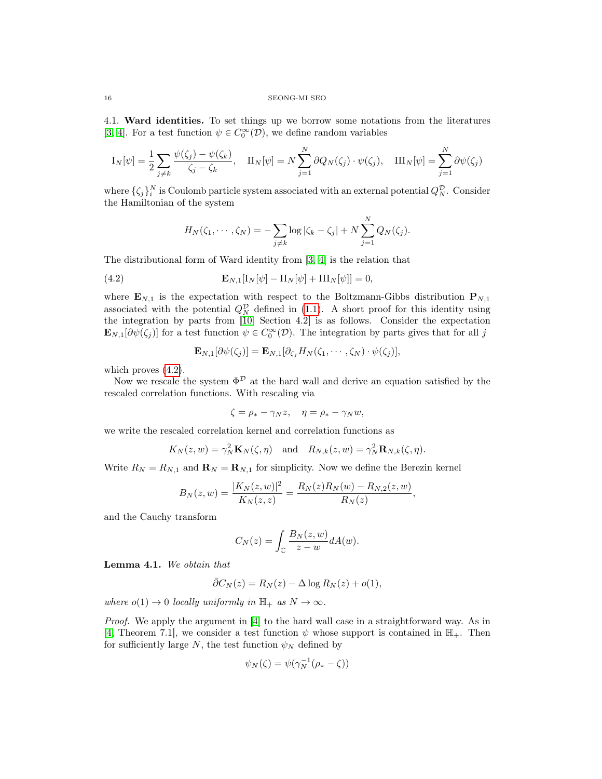4.1. Ward identities. To set things up we borrow some notations from the literatures [\[3,](#page-18-3) [4\]](#page-18-8). For a test function  $\psi \in C_0^{\infty}(\mathcal{D})$ , we define random variables

$$
I_N[\psi] = \frac{1}{2} \sum_{j \neq k} \frac{\psi(\zeta_j) - \psi(\zeta_k)}{\zeta_j - \zeta_k}, \quad \Pi_N[\psi] = N \sum_{j=1}^N \partial Q_N(\zeta_j) \cdot \psi(\zeta_j), \quad \Pi_N[\psi] = \sum_{j=1}^N \partial \psi(\zeta_j)
$$

where  $\{\zeta_j\}_i^N$  is Coulomb particle system associated with an external potential  $Q_N^{\mathcal{D}}$ . Consider the Hamiltonian of the system

$$
H_N(\zeta_1, \cdots, \zeta_N) = -\sum_{j \neq k} \log |\zeta_k - \zeta_j| + N \sum_{j=1}^N Q_N(\zeta_j).
$$

The distributional form of Ward identity from [\[3,](#page-18-3) [4\]](#page-18-8) is the relation that

<span id="page-15-0"></span>(4.2) 
$$
\mathbf{E}_{N,1}[\mathbf{I}_N[\psi] - \mathbf{II}_N[\psi] + \mathbf{III}_N[\psi]] = 0,
$$

where  $\mathbf{E}_{N,1}$  is the expectation with respect to the Boltzmann-Gibbs distribution  $\mathbf{P}_{N,1}$ associated with the potential  $Q_N^{\mathcal{D}}$  defined in [\(1.1\)](#page-0-0). A short proof for this identity using the integration by parts from  $[10, \text{ Section } 4.2]$  $[10, \text{ Section } 4.2]$  is as follows. Consider the expectation  $\mathbf{E}_{N,1}[\partial \psi(\zeta_j)]$  for a test function  $\psi \in C_0^{\infty}(\mathcal{D})$ . The integration by parts gives that for all j

$$
\mathbf{E}_{N,1}[\partial \psi(\zeta_j)] = \mathbf{E}_{N,1}[\partial_{\zeta_j} H_N(\zeta_1,\cdots,\zeta_N) \cdot \psi(\zeta_j)],
$$

which proves  $(4.2)$ .

Now we rescale the system  $\Phi^{\mathcal{D}}$  at the hard wall and derive an equation satisfied by the rescaled correlation functions. With rescaling via

$$
\zeta = \rho_* - \gamma_N z, \quad \eta = \rho_* - \gamma_N w,
$$

we write the rescaled correlation kernel and correlation functions as

$$
K_N(z, w) = \gamma_N^2 \mathbf{K}_N(\zeta, \eta)
$$
 and  $R_{N,k}(z, w) = \gamma_N^2 \mathbf{R}_{N,k}(\zeta, \eta)$ .

Write  $R_N = R_{N,1}$  and  $\mathbf{R}_N = \mathbf{R}_{N,1}$  for simplicity. Now we define the Berezin kernel

$$
B_N(z, w) = \frac{|K_N(z, w)|^2}{K_N(z, z)} = \frac{R_N(z)R_N(w) - R_{N, 2}(z, w)}{R_N(z)},
$$

and the Cauchy transform

$$
C_N(z) = \int_{\mathbb{C}} \frac{B_N(z, w)}{z - w} dA(w).
$$

Lemma 4.1. We obtain that

$$
\bar{\partial}C_N(z) = R_N(z) - \Delta \log R_N(z) + o(1),
$$

where  $o(1) \rightarrow 0$  locally uniformly in  $\mathbb{H}_+$  as  $N \rightarrow \infty$ .

Proof. We apply the argument in [\[4\]](#page-18-8) to the hard wall case in a straightforward way. As in [\[4,](#page-18-8) Theorem 7.1], we consider a test function  $\psi$  whose support is contained in  $\mathbb{H}_+$ . Then for sufficiently large N, the test function  $\psi_N$  defined by

$$
\psi_N(\zeta) = \psi(\gamma_N^{-1}(\rho_* - \zeta))
$$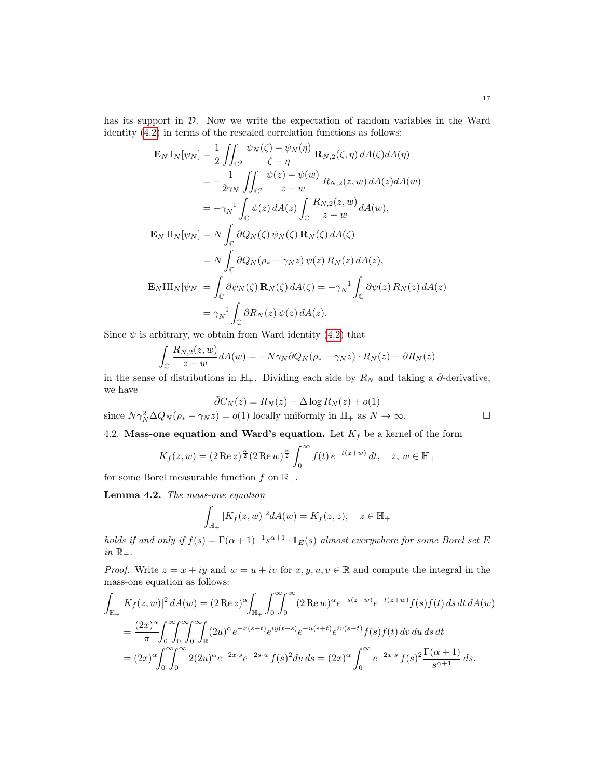has its support in D. Now we write the expectation of random variables in the Ward identity [\(4.2\)](#page-15-0) in terms of the rescaled correlation functions as follows:

$$
\mathbf{E}_{N} \mathbf{I}_{N}[\psi_{N}] = \frac{1}{2} \iint_{\mathbb{C}^{2}} \frac{\psi_{N}(\zeta) - \psi_{N}(\eta)}{\zeta - \eta} \mathbf{R}_{N,2}(\zeta, \eta) dA(\zeta) dA(\eta)
$$
  
\n
$$
= -\frac{1}{2\gamma_{N}} \iint_{\mathbb{C}^{2}} \frac{\psi(z) - \psi(w)}{z - w} R_{N,2}(z, w) dA(z) dA(w)
$$
  
\n
$$
= -\gamma_{N}^{-1} \int_{\mathbb{C}} \psi(z) dA(z) \int_{\mathbb{C}} \frac{R_{N,2}(z, w)}{z - w} dA(w),
$$
  
\n
$$
\mathbf{E}_{N} \mathbf{I}_{N}[\psi_{N}] = N \int_{\mathbb{C}} \partial Q_{N}(\zeta) \psi_{N}(\zeta) \mathbf{R}_{N}(\zeta) dA(\zeta)
$$
  
\n
$$
= N \int_{\mathbb{C}} \partial Q_{N}(\rho_{*} - \gamma_{N}z) \psi(z) R_{N}(z) dA(z),
$$
  
\n
$$
\mathbf{E}_{N} \mathbf{I}_{N}[\psi_{N}] = \int_{\mathbb{C}} \partial \psi_{N}(\zeta) \mathbf{R}_{N}(\zeta) dA(\zeta) = -\gamma_{N}^{-1} \int_{\mathbb{C}} \partial \psi(z) R_{N}(z) dA(z)
$$
  
\n
$$
= \gamma_{N}^{-1} \int_{\mathbb{C}} \partial R_{N}(z) \psi(z) dA(z).
$$

Since  $\psi$  is arbitrary, we obtain from Ward identity [\(4.2\)](#page-15-0) that

$$
\int_{\mathbb{C}} \frac{R_{N,2}(z,w)}{z-w} dA(w) = -N\gamma_N \partial Q_N(\rho_* - \gamma_N z) \cdot R_N(z) + \partial R_N(z)
$$

in the sense of distributions in  $\mathbb{H}_+$ . Dividing each side by  $R_N$  and taking a  $\partial$ -derivative, we have

$$
\bar{\partial}C_N(z) = R_N(z) - \Delta \log R_N(z) + o(1)
$$
  
since  $N\gamma_N^2 \Delta Q_N(\rho_* - \gamma_N z) = o(1)$  locally uniformly in  $\mathbb{H}_+$  as  $N \to \infty$ .

# 4.2. Mass-one equation and Ward's equation. Let  $K_f$  be a kernel of the form

$$
K_f(z, w) = (2 \operatorname{Re} z)^{\frac{\alpha}{2}} (2 \operatorname{Re} w)^{\frac{\alpha}{2}} \int_0^{\infty} f(t) e^{-t(z+\bar{w})} dt, \quad z, w \in \mathbb{H}_+
$$

for some Borel measurable function  $f$  on  $\mathbb{R}_+$ .

Lemma 4.2. The mass-one equation

$$
\int_{\mathbb{H}_+} |K_f(z, w)|^2 dA(w) = K_f(z, z), \quad z \in \mathbb{H}_+
$$

holds if and only if  $f(s) = \Gamma(\alpha+1)^{-1} s^{\alpha+1} \cdot \mathbf{1}_{E}(s)$  almost everywhere for some Borel set E in  $\mathbb{R}_+$ .

*Proof.* Write  $z = x + iy$  and  $w = u + iv$  for  $x, y, u, v \in \mathbb{R}$  and compute the integral in the mass-one equation as follows:

$$
\int_{\mathbb{H}_+} |K_f(z, w)|^2 dA(w) = (2 \operatorname{Re} z)^{\alpha} \int_{\mathbb{H}_+} \int_0^{\infty} \int_0^{\infty} (2 \operatorname{Re} w)^{\alpha} e^{-s(z + \bar{w})} e^{-t(\bar{z} + w)} f(s) f(t) ds dt dA(w)
$$
  
\n
$$
= \frac{(2x)^{\alpha}}{\pi} \int_0^{\infty} \int_0^{\infty} \int_0^{\infty} \int_{\mathbb{R}} (2u)^{\alpha} e^{-x(s+t)} e^{iy(t-s)} e^{-u(s+t)} e^{iv(s-t)} f(s) f(t) dv du ds dt
$$
  
\n
$$
= (2x)^{\alpha} \int_0^{\infty} \int_0^{\infty} 2(2u)^{\alpha} e^{-2x \cdot s} e^{-2s \cdot u} f(s)^2 du ds = (2x)^{\alpha} \int_0^{\infty} e^{-2x \cdot s} f(s)^2 \frac{\Gamma(\alpha + 1)}{s^{\alpha + 1}} ds.
$$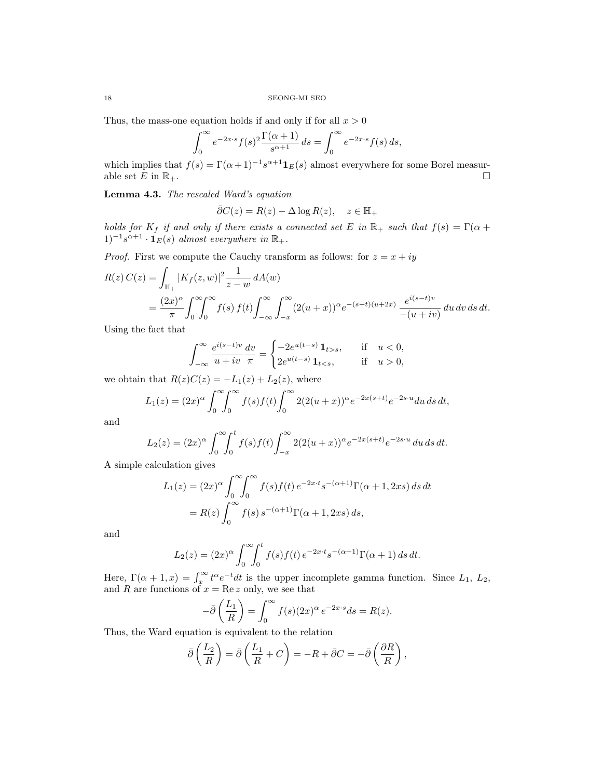Thus, the mass-one equation holds if and only if for all  $x > 0$ 

$$
\int_0^\infty e^{-2x \cdot s} f(s)^2 \frac{\Gamma(\alpha+1)}{s^{\alpha+1}} ds = \int_0^\infty e^{-2x \cdot s} f(s) ds,
$$

which implies that  $f(s) = \Gamma(\alpha+1)^{-1} s^{\alpha+1} \mathbf{1}_E(s)$  almost everywhere for some Borel measurable set E in  $\mathbb{R}_+$ .

Lemma 4.3. The rescaled Ward's equation

$$
\bar{\partial}C(z) = R(z) - \Delta \log R(z), \quad z \in \mathbb{H}_+
$$

holds for  $K_f$  if and only if there exists a connected set E in  $\mathbb{R}_+$  such that  $f(s) = \Gamma(\alpha +$  $(1)^{-1}s^{\alpha+1}\cdot\mathbf{1}_E(s)$  almost everywhere in  $\mathbb{R}_+$ .

*Proof.* First we compute the Cauchy transform as follows: for  $z = x + iy$ 

$$
R(z) C(z) = \int_{\mathbb{H}_+} |K_f(z, w)|^2 \frac{1}{z - w} dA(w)
$$
  
= 
$$
\frac{(2x)^{\alpha}}{\pi} \int_0^{\infty} \int_0^{\infty} f(s) f(t) \int_{-\infty}^{\infty} \int_{-x}^{\infty} (2(u + x))^{\alpha} e^{-(s+t)(u+2x)} \frac{e^{i(s-t)v}}{-(u+iv)} du dv ds dt.
$$

Using the fact that

$$
\int_{-\infty}^{\infty} \frac{e^{i(s-t)v}}{u+iv} \frac{dv}{\pi} = \begin{cases} -2e^{u(t-s)} \mathbf{1}_{t>s}, & \text{if } u < 0, \\ 2e^{u(t-s)} \mathbf{1}_{t 0, \end{cases}
$$

we obtain that  $R(z)C(z) = -L_1(z) + L_2(z)$ , where

$$
L_1(z) = (2x)^{\alpha} \int_0^{\infty} \int_0^{\infty} f(s) f(t) \int_0^{\infty} 2(2(u+x))^{\alpha} e^{-2x(s+t)} e^{-2s \cdot u} du \, ds \, dt,
$$

and

$$
L_2(z) = (2x)^{\alpha} \int_0^{\infty} \int_0^t f(s) f(t) \int_{-x}^{\infty} 2(2(u+x))^{\alpha} e^{-2x(s+t)} e^{-2s \cdot u} du ds dt.
$$

A simple calculation gives

$$
L_1(z) = (2x)^{\alpha} \int_0^{\infty} \int_0^{\infty} f(s)f(t) e^{-2x \cdot t} s^{-(\alpha+1)} \Gamma(\alpha+1, 2xs) ds dt
$$
  
=  $R(z) \int_0^{\infty} f(s) s^{-(\alpha+1)} \Gamma(\alpha+1, 2xs) ds,$ 

and

$$
L_2(z) = (2x)^{\alpha} \int_0^{\infty} \int_0^t f(s) f(t) e^{-2x \cdot t} s^{-(\alpha+1)} \Gamma(\alpha+1) ds dt.
$$

Here,  $\Gamma(\alpha+1,x) = \int_x^{\infty} t^{\alpha} e^{-t} dt$  is the upper incomplete gamma function. Since  $L_1, L_2$ , and R are functions of  $x = \text{Re } z$  only, we see that

$$
-\bar{\partial}\left(\frac{L_1}{R}\right) = \int_0^\infty f(s)(2x)^\alpha e^{-2x \cdot s} ds = R(z).
$$

Thus, the Ward equation is equivalent to the relation

$$
\bar{\partial}\left(\frac{L_2}{R}\right) = \bar{\partial}\left(\frac{L_1}{R} + C\right) = -R + \bar{\partial}C = -\bar{\partial}\left(\frac{\partial R}{R}\right),
$$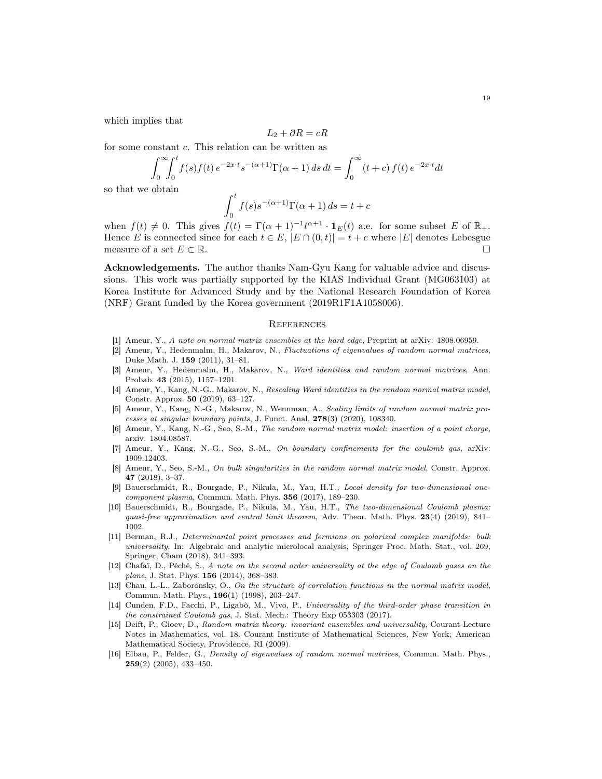which implies that

$$
L_2 + \partial R = cR
$$

for some constant c. This relation can be written as

$$
\int_0^{\infty} \int_0^t f(s) f(t) e^{-2x \cdot t} s^{-(\alpha+1)} \Gamma(\alpha+1) ds dt = \int_0^{\infty} (t+c) f(t) e^{-2x \cdot t} dt
$$

so that we obtain

$$
\int_0^t f(s)s^{-(\alpha+1)}\Gamma(\alpha+1)\,ds = t + c
$$

when  $f(t) \neq 0$ . This gives  $f(t) = \Gamma(\alpha + 1)^{-1}t^{\alpha+1} \cdot \mathbf{1}_E(t)$  a.e. for some subset E of  $\mathbb{R}_+$ . Hence E is connected since for each  $t \in E$ ,  $|E \cap (0, t)| = t + c$  where  $|E|$  denotes Lebesgue measure of a set  $E \subset \mathbb{R}$ .

Acknowledgements. The author thanks Nam-Gyu Kang for valuable advice and discussions. This work was partially supported by the KIAS Individual Grant (MG063103) at Korea Institute for Advanced Study and by the National Research Foundation of Korea (NRF) Grant funded by the Korea government (2019R1F1A1058006).

## **REFERENCES**

- <span id="page-18-7"></span>[1] Ameur, Y., A note on normal matrix ensembles at the hard edge, Preprint at arXiv: 1808.06959.
- <span id="page-18-2"></span>[2] Ameur, Y., Hedenmalm, H., Makarov, N., Fluctuations of eigenvalues of random normal matrices, Duke Math. J. 159 (2011), 31–81.
- <span id="page-18-3"></span>[3] Ameur, Y., Hedenmalm, H., Makarov, N., Ward identities and random normal matrices, Ann. Probab. 43 (2015), 1157–1201.
- <span id="page-18-8"></span>[4] Ameur, Y., Kang, N.-G., Makarov, N., Rescaling Ward identities in the random normal matrix model, Constr. Approx. **50** (2019), 63-127.
- <span id="page-18-10"></span>[5] Ameur, Y., Kang, N.-G., Makarov, N., Wennman, A., Scaling limits of random normal matrix processes at singular boundary points, J. Funct. Anal. 278(3) (2020), 108340.
- <span id="page-18-13"></span>[6] Ameur, Y., Kang, N.-G., Seo, S.-M., The random normal matrix model: insertion of a point charge, arxiv: 1804.08587.
- <span id="page-18-9"></span>[7] Ameur, Y., Kang, N.-G., Seo, S.-M., On boundary confinements for the coulomb gas, arXiv: 1909.12403.
- <span id="page-18-12"></span>[8] Ameur, Y., Seo, S.-M., On bulk singularities in the random normal matrix model, Constr. Approx. 47 (2018), 3–37.
- <span id="page-18-6"></span>[9] Bauerschmidt, R., Bourgade, P., Nikula, M., Yau, H.T., Local density for two-dimensional onecomponent plasma, Commun. Math. Phys. 356 (2017), 189-230.
- <span id="page-18-4"></span>[10] Bauerschmidt, R., Bourgade, P., Nikula, M., Yau, H.T., The two-dimensional Coulomb plasma: quasi-free approximation and central limit theorem, Adv. Theor. Math. Phys.  $23(4)$  (2019), 841– 1002.
- <span id="page-18-5"></span>[11] Berman, R.J., Determinantal point processes and fermions on polarized complex manifolds: bulk universality, In: Algebraic and analytic microlocal analysis, Springer Proc. Math. Stat., vol. 269, Springer, Cham (2018), 341–393.
- <span id="page-18-14"></span>[12] Chafaï, D., Péché, S., A note on the second order universality at the edge of Coulomb gases on the plane, J. Stat. Phys. 156 (2014), 368–383.
- <span id="page-18-0"></span>[13] Chau, L.-L., Zaboronsky, O., On the structure of correlation functions in the normal matrix model, Commun. Math. Phys., 196(1) (1998), 203–247.
- <span id="page-18-11"></span>[14] Cunden, F.D., Facchi, P., Ligabò, M., Vivo, P., Universality of the third-order phase transition in the constrained Coulomb gas, J. Stat. Mech.: Theory Exp 053303 (2017).
- <span id="page-18-15"></span>[15] Deift, P., Gioev, D., Random matrix theory: invariant ensembles and universality, Courant Lecture Notes in Mathematics, vol. 18. Courant Institute of Mathematical Sciences, New York; American Mathematical Society, Providence, RI (2009).
- <span id="page-18-1"></span>[16] Elbau, P., Felder, G., *Density of eigenvalues of random normal matrices*, Commun. Math. Phys., 259(2) (2005), 433–450.